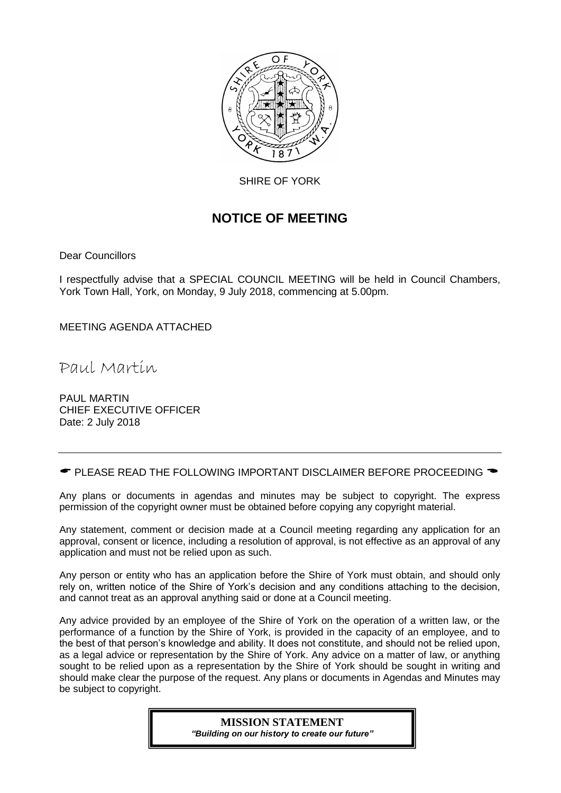

SHIRE OF YORK

## **NOTICE OF MEETING**

Dear Councillors

I respectfully advise that a SPECIAL COUNCIL MEETING will be held in Council Chambers, York Town Hall, York, on Monday, 9 July 2018, commencing at 5.00pm.

MEETING AGENDA ATTACHED

Paul Martin

PAUL MARTIN CHIEF EXECUTIVE OFFICER Date: 2 July 2018

 $\bullet$  PLEASE READ THE FOLLOWING IMPORTANT DISCLAIMER BEFORE PROCEEDING  $\bullet$ 

Any plans or documents in agendas and minutes may be subject to copyright. The express permission of the copyright owner must be obtained before copying any copyright material.

Any statement, comment or decision made at a Council meeting regarding any application for an approval, consent or licence, including a resolution of approval, is not effective as an approval of any application and must not be relied upon as such.

Any person or entity who has an application before the Shire of York must obtain, and should only rely on, written notice of the Shire of York's decision and any conditions attaching to the decision, and cannot treat as an approval anything said or done at a Council meeting.

Any advice provided by an employee of the Shire of York on the operation of a written law, or the performance of a function by the Shire of York, is provided in the capacity of an employee, and to the best of that person's knowledge and ability. It does not constitute, and should not be relied upon, as a legal advice or representation by the Shire of York. Any advice on a matter of law, or anything sought to be relied upon as a representation by the Shire of York should be sought in writing and should make clear the purpose of the request. Any plans or documents in Agendas and Minutes may be subject to copyright.

#### **MISSION STATEMENT** *"Building on our history to create our future"*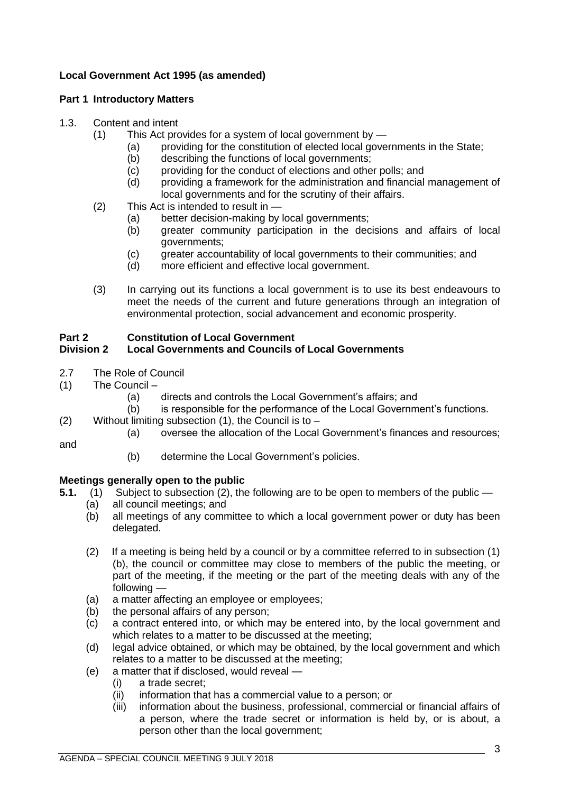## **Local Government Act 1995 (as amended)**

## **Part 1 Introductory Matters**

## 1.3. Content and intent

- (1) This Act provides for a system of local government by
	- (a) providing for the constitution of elected local governments in the State;
	- (b) describing the functions of local governments;
	- (c) providing for the conduct of elections and other polls; and
	- (d) providing a framework for the administration and financial management of local governments and for the scrutiny of their affairs.
- (2) This Act is intended to result in
	- (a) better decision-making by local governments;
	- (b) greater community participation in the decisions and affairs of local governments;
	- (c) greater accountability of local governments to their communities; and
	- (d) more efficient and effective local government.
- (3) In carrying out its functions a local government is to use its best endeavours to meet the needs of the current and future generations through an integration of environmental protection, social advancement and economic prosperity.

## **Part 2 Constitution of Local Government**

## **Division 2 Local Governments and Councils of Local Governments**

- 2.7 The Role of Council
- (1) The Council
	- (a) directs and controls the Local Government's affairs; and
	- (b) is responsible for the performance of the Local Government's functions.
- (2) Without limiting subsection  $(1)$ , the Council is to
	- (a) oversee the allocation of the Local Government's finances and resources;

and

(b) determine the Local Government's policies.

## **Meetings generally open to the public**

- **5.1.** (1) Subject to subsection (2), the following are to be open to members of the public
	- (a) all council meetings; and
	- (b) all meetings of any committee to which a local government power or duty has been delegated.
	- (2) If a meeting is being held by a council or by a committee referred to in subsection (1) (b), the council or committee may close to members of the public the meeting, or part of the meeting, if the meeting or the part of the meeting deals with any of the following —
	- (a) a matter affecting an employee or employees;
	- (b) the personal affairs of any person;
	- (c) a contract entered into, or which may be entered into, by the local government and which relates to a matter to be discussed at the meeting;
	- (d) legal advice obtained, or which may be obtained, by the local government and which relates to a matter to be discussed at the meeting;
	- (e) a matter that if disclosed, would reveal
		- (i) a trade secret;
		- (ii) information that has a commercial value to a person; or
		- (iii) information about the business, professional, commercial or financial affairs of a person, where the trade secret or information is held by, or is about, a person other than the local government;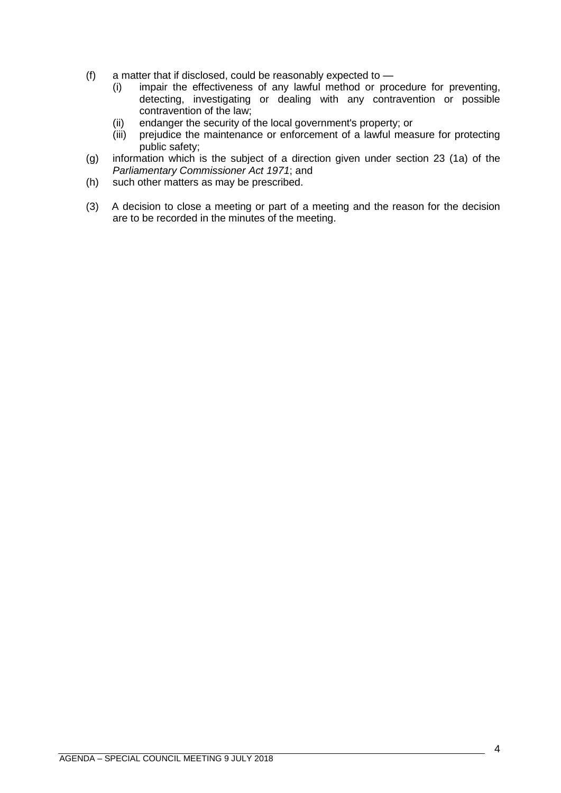- (f) a matter that if disclosed, could be reasonably expected to
	- (i) impair the effectiveness of any lawful method or procedure for preventing, detecting, investigating or dealing with any contravention or possible contravention of the law;
	- (ii) endanger the security of the local government's property; or
	- (iii) prejudice the maintenance or enforcement of a lawful measure for protecting public safety;
- (g) information which is the subject of a direction given under section 23 (1a) of the *Parliamentary Commissioner Act 1971*; and
- (h) such other matters as may be prescribed.
- (3) A decision to close a meeting or part of a meeting and the reason for the decision are to be recorded in the minutes of the meeting.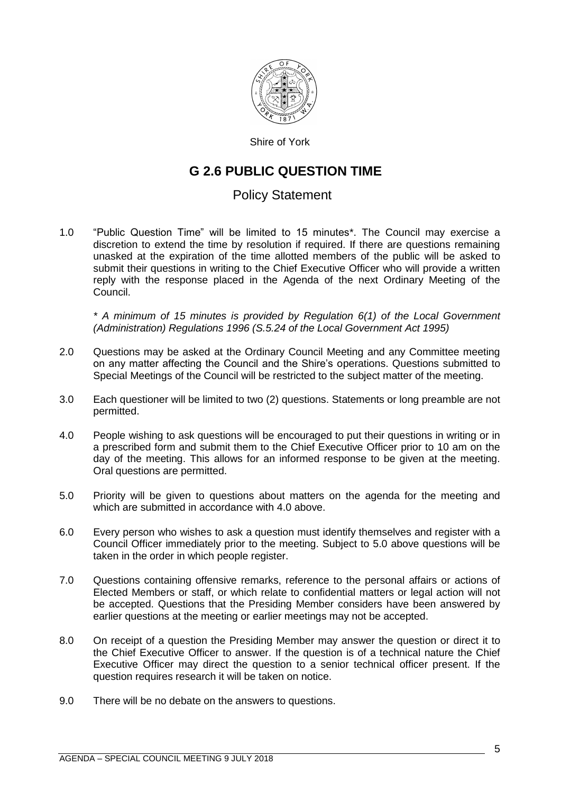

Shire of York

## **G 2.6 PUBLIC QUESTION TIME**

## Policy Statement

1.0 "Public Question Time" will be limited to 15 minutes\*. The Council may exercise a discretion to extend the time by resolution if required. If there are questions remaining unasked at the expiration of the time allotted members of the public will be asked to submit their questions in writing to the Chief Executive Officer who will provide a written reply with the response placed in the Agenda of the next Ordinary Meeting of the Council.

*\* A minimum of 15 minutes is provided by Regulation 6(1) of the Local Government (Administration) Regulations 1996 (S.5.24 of the Local Government Act 1995)*

- 2.0 Questions may be asked at the Ordinary Council Meeting and any Committee meeting on any matter affecting the Council and the Shire's operations. Questions submitted to Special Meetings of the Council will be restricted to the subject matter of the meeting.
- 3.0 Each questioner will be limited to two (2) questions. Statements or long preamble are not permitted.
- 4.0 People wishing to ask questions will be encouraged to put their questions in writing or in a prescribed form and submit them to the Chief Executive Officer prior to 10 am on the day of the meeting. This allows for an informed response to be given at the meeting. Oral questions are permitted.
- 5.0 Priority will be given to questions about matters on the agenda for the meeting and which are submitted in accordance with 4.0 above.
- 6.0 Every person who wishes to ask a question must identify themselves and register with a Council Officer immediately prior to the meeting. Subject to 5.0 above questions will be taken in the order in which people register.
- 7.0 Questions containing offensive remarks, reference to the personal affairs or actions of Elected Members or staff, or which relate to confidential matters or legal action will not be accepted. Questions that the Presiding Member considers have been answered by earlier questions at the meeting or earlier meetings may not be accepted.
- 8.0 On receipt of a question the Presiding Member may answer the question or direct it to the Chief Executive Officer to answer. If the question is of a technical nature the Chief Executive Officer may direct the question to a senior technical officer present. If the question requires research it will be taken on notice.
- 9.0 There will be no debate on the answers to questions.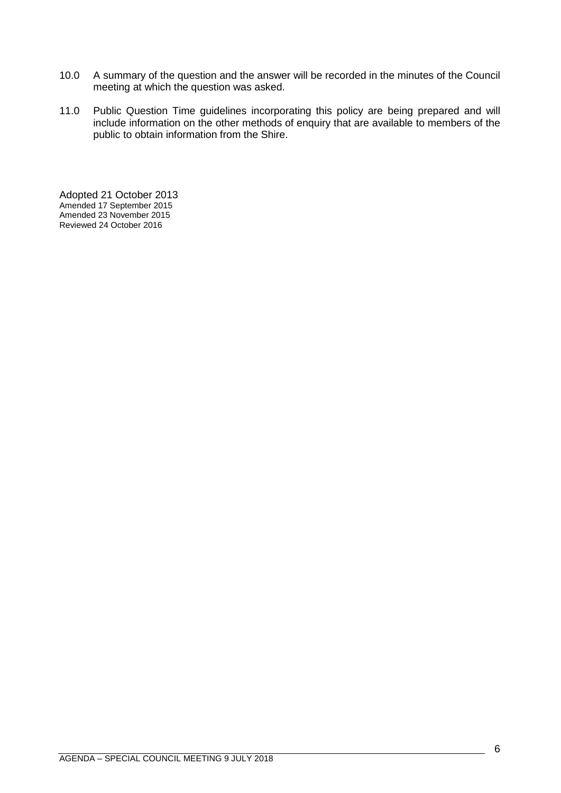- 10.0 A summary of the question and the answer will be recorded in the minutes of the Council meeting at which the question was asked.
- 11.0 Public Question Time guidelines incorporating this policy are being prepared and will include information on the other methods of enquiry that are available to members of the public to obtain information from the Shire.

Adopted 21 October 2013 Amended 17 September 2015 Amended 23 November 2015 Reviewed 24 October 2016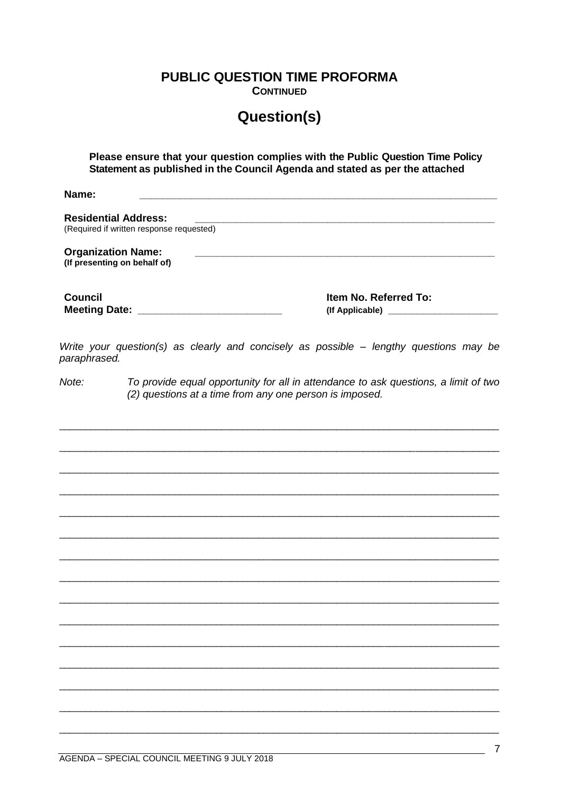**PUBLIC QUESTION TIME PROFORMA** 

**CONTINUED** 

# **Question(s)**

Please ensure that your question complies with the Public Question Time Policy Statement as published in the Council Agenda and stated as per the attached

Name<sup>.</sup>

**Residential Address:** (Required if written response requested) **Organization Name:** (If presenting on behalf of) **Council** Item No. Referred To: 

Write your question(s) as clearly and concisely as possible - lengthy questions may be paraphrased.

 $Note:$ To provide equal opportunity for all in attendance to ask questions, a limit of two (2) questions at a time from any one person is imposed.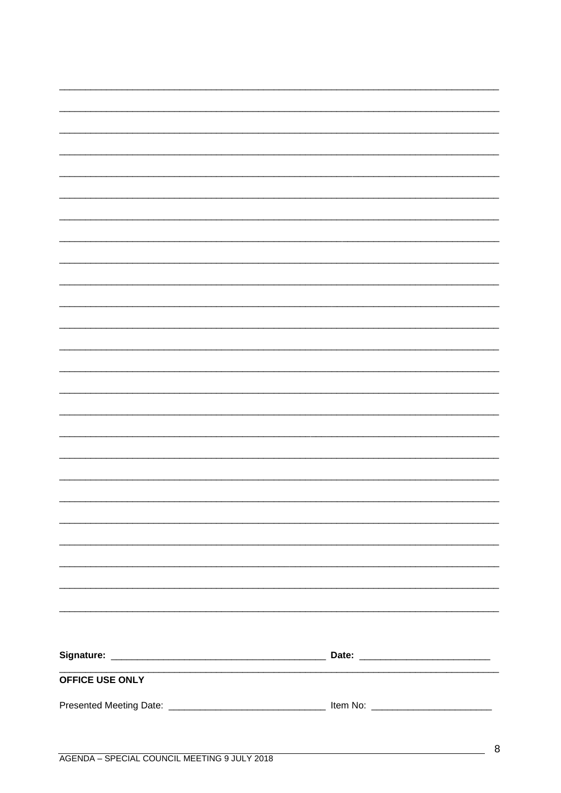| OFFICE USE ONLY |  |
|-----------------|--|
|                 |  |
|                 |  |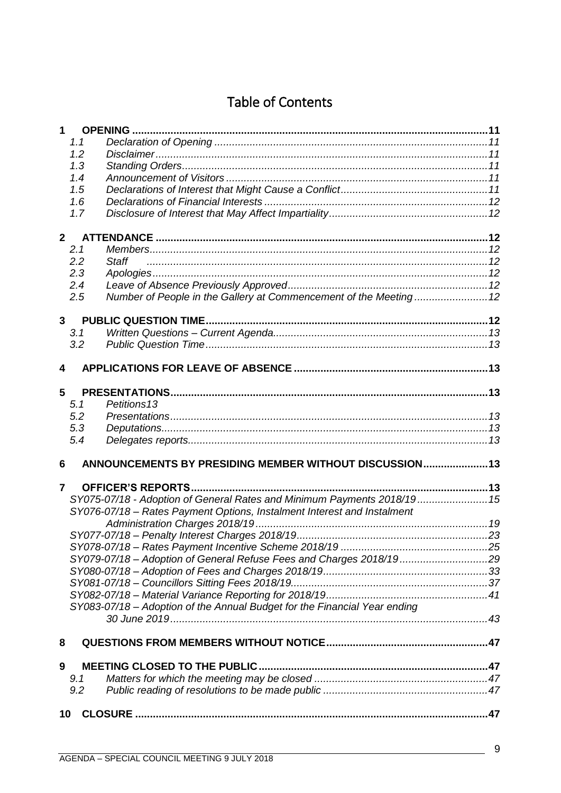# **Table of Contents**

| $\mathbf 1$    |     |                                                                           |  |
|----------------|-----|---------------------------------------------------------------------------|--|
|                | 1.1 |                                                                           |  |
|                | 1.2 |                                                                           |  |
|                | 1.3 |                                                                           |  |
|                | 1.4 |                                                                           |  |
|                | 1.5 |                                                                           |  |
|                | 1.6 |                                                                           |  |
|                | 1.7 |                                                                           |  |
|                |     |                                                                           |  |
| 2 <sup>1</sup> |     |                                                                           |  |
|                | 2.1 |                                                                           |  |
|                | 2.2 | <b>Staff</b>                                                              |  |
|                | 2.3 |                                                                           |  |
|                | 2.4 |                                                                           |  |
|                | 2.5 |                                                                           |  |
|                |     |                                                                           |  |
| $\mathbf{3}$   |     |                                                                           |  |
|                | 3.1 |                                                                           |  |
|                | 3.2 |                                                                           |  |
|                |     |                                                                           |  |
| 4              |     |                                                                           |  |
| 5              |     |                                                                           |  |
|                | 5.1 | Petitions <sub>13</sub>                                                   |  |
|                | 5.2 |                                                                           |  |
|                | 5.3 |                                                                           |  |
|                | 5.4 |                                                                           |  |
|                |     |                                                                           |  |
| 6              |     | ANNOUNCEMENTS BY PRESIDING MEMBER WITHOUT DISCUSSION 13                   |  |
|                |     |                                                                           |  |
| $\overline{7}$ |     |                                                                           |  |
|                |     | SY075-07/18 - Adoption of General Rates and Minimum Payments 2018/19 15   |  |
|                |     | SY076-07/18 - Rates Payment Options, Instalment Interest and Instalment   |  |
|                |     |                                                                           |  |
|                |     |                                                                           |  |
|                |     |                                                                           |  |
|                |     | SY079-07/18 - Adoption of General Refuse Fees and Charges 2018/1929       |  |
|                |     |                                                                           |  |
|                |     |                                                                           |  |
|                |     |                                                                           |  |
|                |     | SY083-07/18 - Adoption of the Annual Budget for the Financial Year ending |  |
|                |     |                                                                           |  |
|                |     |                                                                           |  |
| 8              |     |                                                                           |  |
| 9              |     |                                                                           |  |
|                | 9.1 |                                                                           |  |
|                | 9.2 |                                                                           |  |
|                |     |                                                                           |  |
| 10             |     |                                                                           |  |
|                |     |                                                                           |  |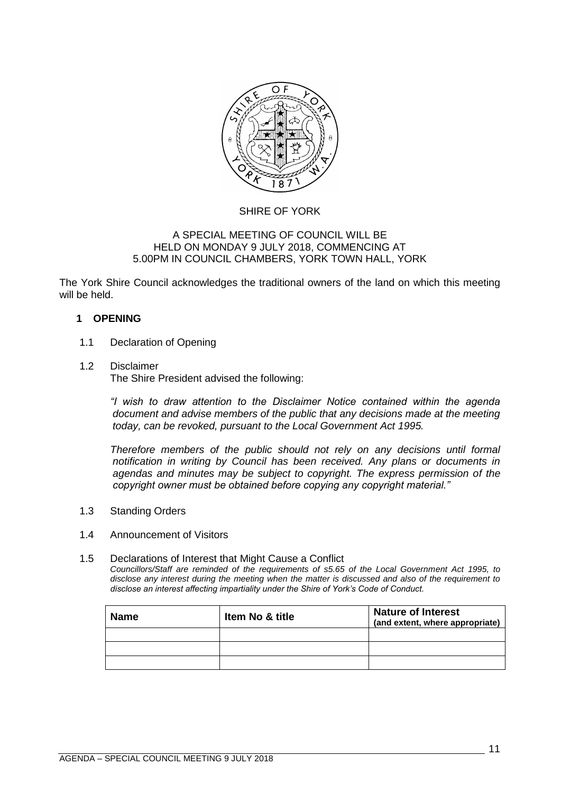

## SHIRE OF YORK

#### A SPECIAL MEETING OF COUNCIL WILL BE HELD ON MONDAY 9 JULY 2018, COMMENCING AT 5.00PM IN COUNCIL CHAMBERS, YORK TOWN HALL, YORK

The York Shire Council acknowledges the traditional owners of the land on which this meeting will be held.

## <span id="page-10-0"></span>**1 OPENING**

- <span id="page-10-1"></span>1.1 Declaration of Opening
- <span id="page-10-2"></span>1.2 Disclaimer

The Shire President advised the following:

*"I wish to draw attention to the Disclaimer Notice contained within the agenda document and advise members of the public that any decisions made at the meeting today, can be revoked, pursuant to the Local Government Act 1995.* 

*Therefore members of the public should not rely on any decisions until formal notification in writing by Council has been received. Any plans or documents in agendas and minutes may be subject to copyright. The express permission of the copyright owner must be obtained before copying any copyright material."*

- <span id="page-10-3"></span>1.3 Standing Orders
- <span id="page-10-4"></span>1.4 Announcement of Visitors
- <span id="page-10-5"></span>1.5 Declarations of Interest that Might Cause a Conflict *Councillors/Staff are reminded of the requirements of s5.65 of the Local Government Act 1995, to disclose any interest during the meeting when the matter is discussed and also of the requirement to disclose an interest affecting impartiality under the Shire of York's Code of Conduct.*

| <b>Name</b> | <b>Item No &amp; title</b> | <b>Nature of Interest</b><br>(and extent, where appropriate) |
|-------------|----------------------------|--------------------------------------------------------------|
|             |                            |                                                              |
|             |                            |                                                              |
|             |                            |                                                              |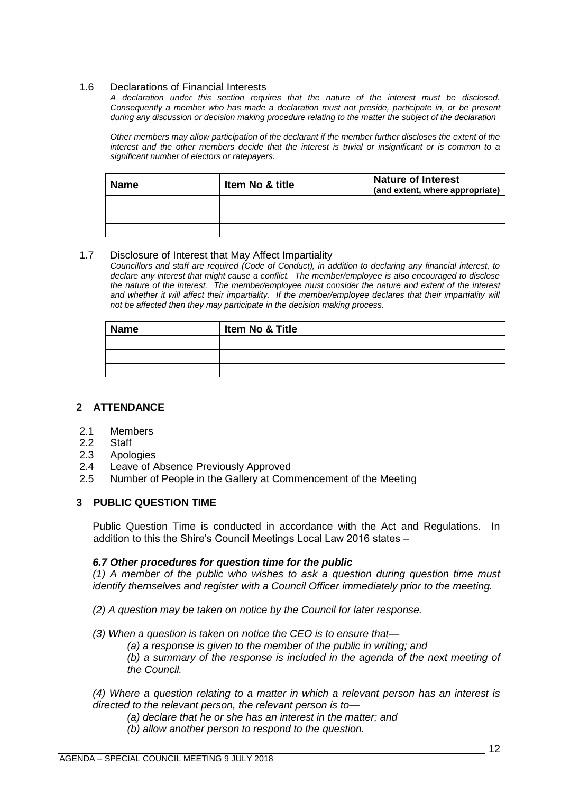#### <span id="page-11-0"></span>1.6 Declarations of Financial Interests

*A declaration under this section requires that the nature of the interest must be disclosed. Consequently a member who has made a declaration must not preside, participate in, or be present during any discussion or decision making procedure relating to the matter the subject of the declaration*

*Other members may allow participation of the declarant if the member further discloses the extent of the interest and the other members decide that the interest is trivial or insignificant or is common to a significant number of electors or ratepayers.*

| <b>Name</b> | <b>Item No &amp; title</b> | <b>Nature of Interest</b><br>(and extent, where appropriate) |
|-------------|----------------------------|--------------------------------------------------------------|
|             |                            |                                                              |
|             |                            |                                                              |
|             |                            |                                                              |

## <span id="page-11-1"></span>1.7 Disclosure of Interest that May Affect Impartiality

*Councillors and staff are required (Code of Conduct), in addition to declaring any financial interest, to declare any interest that might cause a conflict. The member/employee is also encouraged to disclose the nature of the interest. The member/employee must consider the nature and extent of the interest*  and whether it will affect their impartiality. If the member/employee declares that their impartiality will *not be affected then they may participate in the decision making process.*

| <b>Name</b> | Item No & Title |
|-------------|-----------------|
|             |                 |
|             |                 |
|             |                 |

## <span id="page-11-2"></span>**2 ATTENDANCE**

- <span id="page-11-3"></span>2.1 Members
- <span id="page-11-4"></span>2.2 Staff
- <span id="page-11-5"></span>2.3 Apologies
- <span id="page-11-6"></span>2.4 Leave of Absence Previously Approved
- <span id="page-11-7"></span>2.5 Number of People in the Gallery at Commencement of the Meeting

## <span id="page-11-8"></span>**3 PUBLIC QUESTION TIME**

Public Question Time is conducted in accordance with the Act and Regulations. In addition to this the Shire's Council Meetings Local Law 2016 states –

## *6.7 Other procedures for question time for the public*

*(1) A member of the public who wishes to ask a question during question time must identify themselves and register with a Council Officer immediately prior to the meeting.* 

- *(2) A question may be taken on notice by the Council for later response.*
- *(3) When a question is taken on notice the CEO is to ensure that—*
	- *(a) a response is given to the member of the public in writing; and*

*(b) a summary of the response is included in the agenda of the next meeting of the Council.* 

*(4) Where a question relating to a matter in which a relevant person has an interest is directed to the relevant person, the relevant person is to—*

- *(a) declare that he or she has an interest in the matter; and*
- *(b) allow another person to respond to the question.*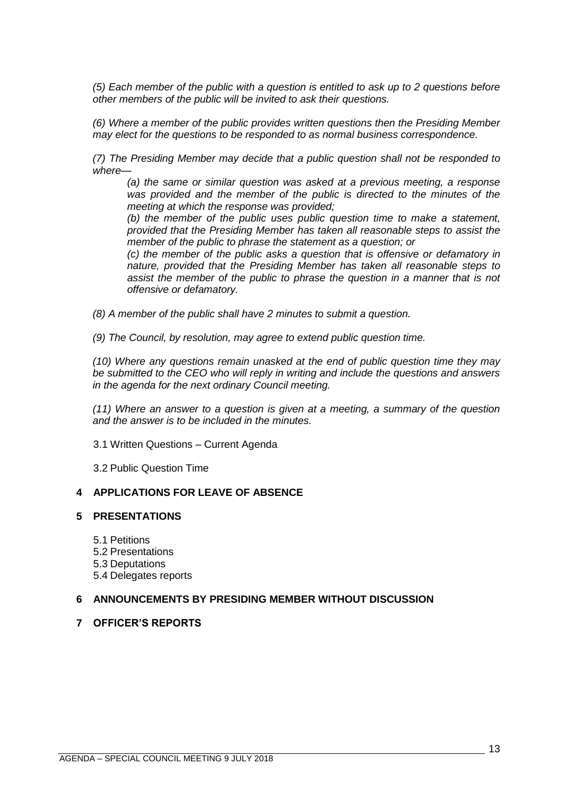*(5) Each member of the public with a question is entitled to ask up to 2 questions before other members of the public will be invited to ask their questions.* 

*(6) Where a member of the public provides written questions then the Presiding Member may elect for the questions to be responded to as normal business correspondence.* 

*(7) The Presiding Member may decide that a public question shall not be responded to where—*

*(a) the same or similar question was asked at a previous meeting, a response was provided and the member of the public is directed to the minutes of the meeting at which the response was provided;* 

*(b) the member of the public uses public question time to make a statement, provided that the Presiding Member has taken all reasonable steps to assist the member of the public to phrase the statement as a question; or* 

*(c) the member of the public asks a question that is offensive or defamatory in nature, provided that the Presiding Member has taken all reasonable steps to assist the member of the public to phrase the question in a manner that is not offensive or defamatory.* 

*(8) A member of the public shall have 2 minutes to submit a question.* 

*(9) The Council, by resolution, may agree to extend public question time.* 

*(10) Where any questions remain unasked at the end of public question time they may be submitted to the CEO who will reply in writing and include the questions and answers in the agenda for the next ordinary Council meeting.* 

*(11) Where an answer to a question is given at a meeting, a summary of the question and the answer is to be included in the minutes.*

<span id="page-12-0"></span>3.1 Written Questions – Current Agenda

3.2 Public Question Time

### <span id="page-12-2"></span><span id="page-12-1"></span>**4 APPLICATIONS FOR LEAVE OF ABSENCE**

#### <span id="page-12-4"></span><span id="page-12-3"></span>**5 PRESENTATIONS**

5.1 Petitions

- <span id="page-12-5"></span>5.2 Presentations
- <span id="page-12-6"></span>5.3 Deputations
- 5.4 Delegates reports

#### <span id="page-12-8"></span><span id="page-12-7"></span>**6 ANNOUNCEMENTS BY PRESIDING MEMBER WITHOUT DISCUSSION**

#### <span id="page-12-9"></span>**7 OFFICER'S REPORTS**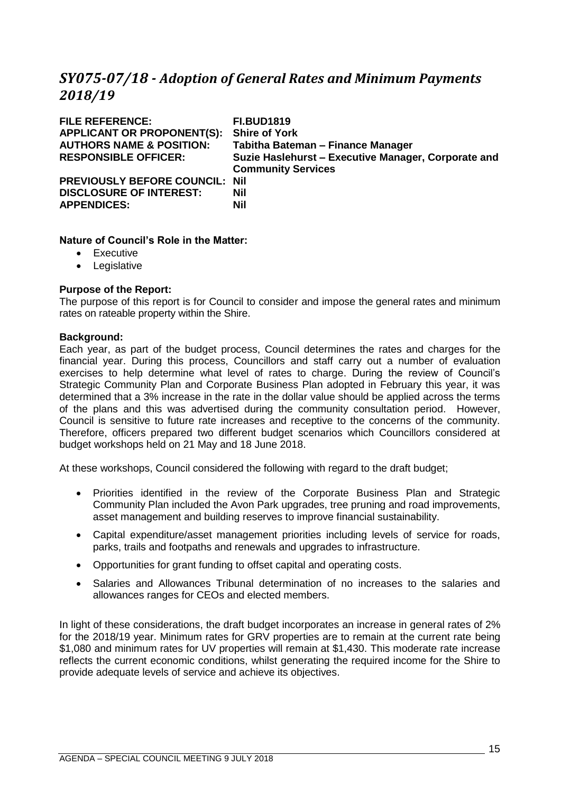## <span id="page-14-0"></span>*SY075-07/18 - Adoption of General Rates and Minimum Payments 2018/19*

| <b>FILE REFERENCE:</b>                | <b>FI.BUD1819</b>                                   |
|---------------------------------------|-----------------------------------------------------|
| <b>APPLICANT OR PROPONENT(S):</b>     | <b>Shire of York</b>                                |
| <b>AUTHORS NAME &amp; POSITION:</b>   | Tabitha Bateman - Finance Manager                   |
| <b>RESPONSIBLE OFFICER:</b>           | Suzie Haslehurst - Executive Manager, Corporate and |
|                                       | <b>Community Services</b>                           |
| <b>PREVIOUSLY BEFORE COUNCIL: Nil</b> |                                                     |
| <b>DISCLOSURE OF INTEREST:</b>        | <b>Nil</b>                                          |
| <b>APPENDICES:</b>                    | <b>Nil</b>                                          |
|                                       |                                                     |

## **Nature of Council's Role in the Matter:**

- Executive
- Legislative

## **Purpose of the Report:**

The purpose of this report is for Council to consider and impose the general rates and minimum rates on rateable property within the Shire.

#### **Background:**

Each year, as part of the budget process, Council determines the rates and charges for the financial year. During this process, Councillors and staff carry out a number of evaluation exercises to help determine what level of rates to charge. During the review of Council's Strategic Community Plan and Corporate Business Plan adopted in February this year, it was determined that a 3% increase in the rate in the dollar value should be applied across the terms of the plans and this was advertised during the community consultation period. However, Council is sensitive to future rate increases and receptive to the concerns of the community. Therefore, officers prepared two different budget scenarios which Councillors considered at budget workshops held on 21 May and 18 June 2018.

At these workshops, Council considered the following with regard to the draft budget;

- Priorities identified in the review of the Corporate Business Plan and Strategic Community Plan included the Avon Park upgrades, tree pruning and road improvements, asset management and building reserves to improve financial sustainability.
- Capital expenditure/asset management priorities including levels of service for roads, parks, trails and footpaths and renewals and upgrades to infrastructure.
- Opportunities for grant funding to offset capital and operating costs.
- Salaries and Allowances Tribunal determination of no increases to the salaries and allowances ranges for CEOs and elected members.

In light of these considerations, the draft budget incorporates an increase in general rates of 2% for the 2018/19 year. Minimum rates for GRV properties are to remain at the current rate being \$1,080 and minimum rates for UV properties will remain at \$1,430. This moderate rate increase reflects the current economic conditions, whilst generating the required income for the Shire to provide adequate levels of service and achieve its objectives.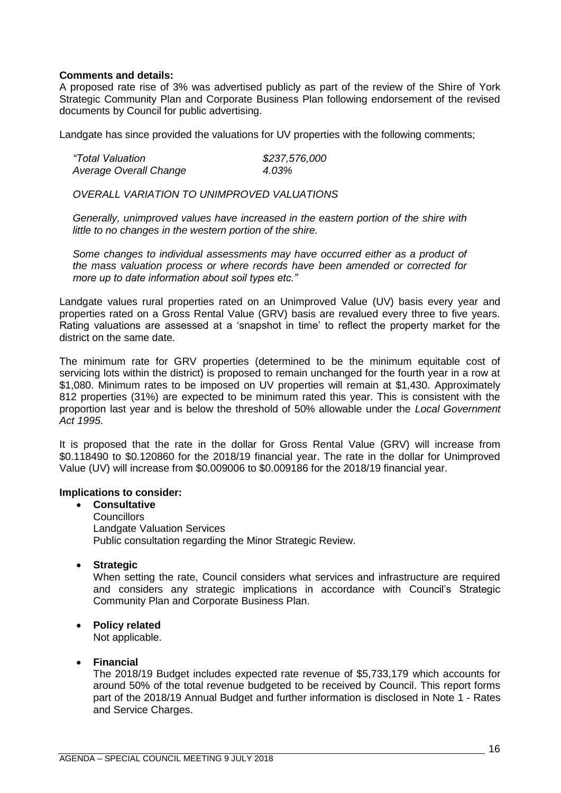### **Comments and details:**

A proposed rate rise of 3% was advertised publicly as part of the review of the Shire of York Strategic Community Plan and Corporate Business Plan following endorsement of the revised documents by Council for public advertising.

Landgate has since provided the valuations for UV properties with the following comments;

| "Total Valuation       | \$237,576,000 |
|------------------------|---------------|
| Average Overall Change | 4.03%         |

*OVERALL VARIATION TO UNIMPROVED VALUATIONS*

*Generally, unimproved values have increased in the eastern portion of the shire with little to no changes in the western portion of the shire.*

*Some changes to individual assessments may have occurred either as a product of the mass valuation process or where records have been amended or corrected for more up to date information about soil types etc."*

Landgate values rural properties rated on an Unimproved Value (UV) basis every year and properties rated on a Gross Rental Value (GRV) basis are revalued every three to five years. Rating valuations are assessed at a 'snapshot in time' to reflect the property market for the district on the same date.

The minimum rate for GRV properties (determined to be the minimum equitable cost of servicing lots within the district) is proposed to remain unchanged for the fourth year in a row at \$1,080. Minimum rates to be imposed on UV properties will remain at \$1,430. Approximately 812 properties (31%) are expected to be minimum rated this year. This is consistent with the proportion last year and is below the threshold of 50% allowable under the *Local Government Act 1995*.

It is proposed that the rate in the dollar for Gross Rental Value (GRV) will increase from \$0.118490 to \$0.120860 for the 2018/19 financial year. The rate in the dollar for Unimproved Value (UV) will increase from \$0.009006 to \$0.009186 for the 2018/19 financial year.

### **Implications to consider:**

• **Consultative Councillors** Landgate Valuation Services Public consultation regarding the Minor Strategic Review.

• **Strategic**

When setting the rate, Council considers what services and infrastructure are required and considers any strategic implications in accordance with Council's Strategic Community Plan and Corporate Business Plan.

## • **Policy related**

Not applicable.

#### • **Financial**

The 2018/19 Budget includes expected rate revenue of \$5,733,179 which accounts for around 50% of the total revenue budgeted to be received by Council. This report forms part of the 2018/19 Annual Budget and further information is disclosed in Note 1 - Rates and Service Charges.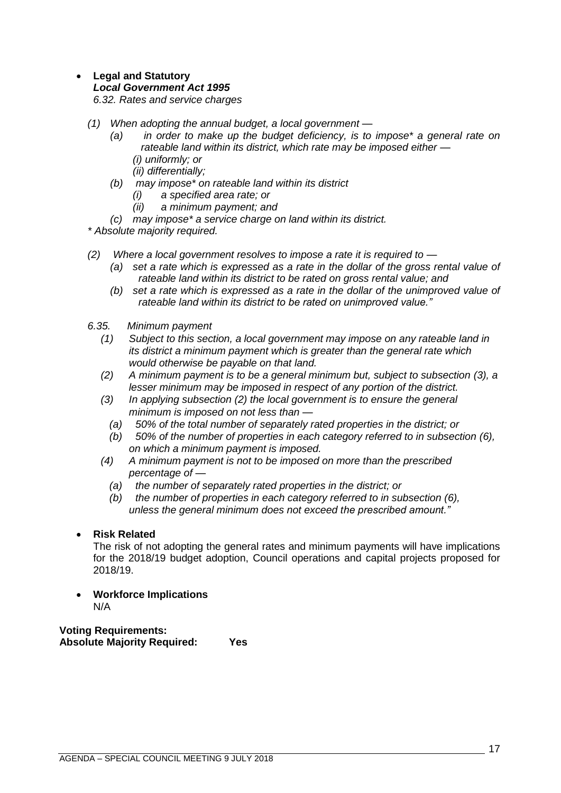## • **Legal and Statutory**

#### *Local Government Act 1995*

*6.32. Rates and service charges*

- *(1) When adopting the annual budget, a local government —*
	- *(a) in order to make up the budget deficiency, is to impose\* a general rate on rateable land within its district, which rate may be imposed either — (i) uniformly; or*
		- *(ii) differentially;*
	- *(b) may impose\* on rateable land within its district*
		- *(i) a specified area rate; or*
		- *(ii) a minimum payment; and*
	- *(c) may impose\* a service charge on land within its district.*

*\* Absolute majority required.*

- *(2) Where a local government resolves to impose a rate it is required to —*
	- *(a) set a rate which is expressed as a rate in the dollar of the gross rental value of rateable land within its district to be rated on gross rental value; and*
	- *(b) set a rate which is expressed as a rate in the dollar of the unimproved value of rateable land within its district to be rated on unimproved value."*
- *6.35. Minimum payment*
	- *(1) Subject to this section, a local government may impose on any rateable land in its district a minimum payment which is greater than the general rate which would otherwise be payable on that land.*
	- *(2) A minimum payment is to be a general minimum but, subject to subsection (3), a lesser minimum may be imposed in respect of any portion of the district.*
	- *(3) In applying subsection (2) the local government is to ensure the general minimum is imposed on not less than —*
		- *(a) 50% of the total number of separately rated properties in the district; or*
		- *(b) 50% of the number of properties in each category referred to in subsection (6), on which a minimum payment is imposed.*
	- *(4) A minimum payment is not to be imposed on more than the prescribed percentage of —*
		- *(a) the number of separately rated properties in the district; or*
		- *(b) the number of properties in each category referred to in subsection (6), unless the general minimum does not exceed the prescribed amount."*

## • **Risk Related**

The risk of not adopting the general rates and minimum payments will have implications for the 2018/19 budget adoption, Council operations and capital projects proposed for 2018/19.

• **Workforce Implications** N/A

**Voting Requirements: Absolute Majority Required: Yes**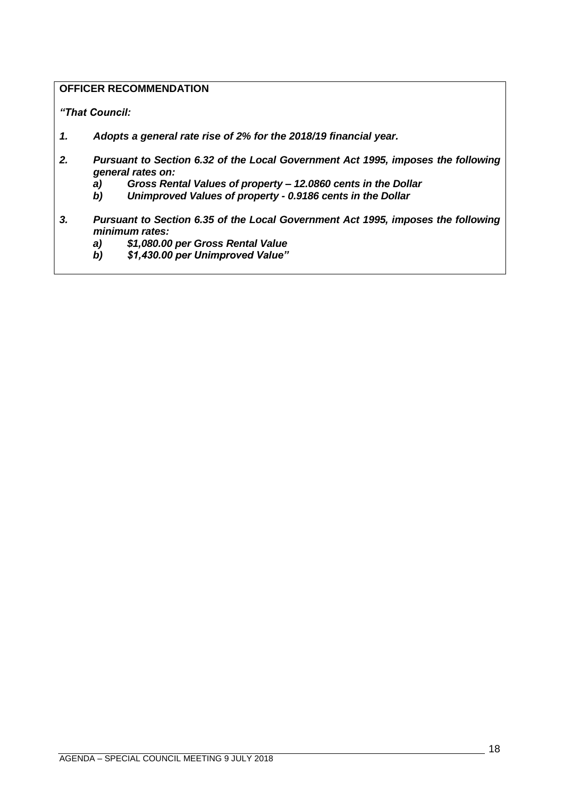## **OFFICER RECOMMENDATION**

*"That Council:*

- *1. Adopts a general rate rise of 2% for the 2018/19 financial year.*
- *2. Pursuant to Section 6.32 of the Local Government Act 1995, imposes the following general rates on:*
- *a) Gross Rental Values of property – 12.0860 cents in the Dollar*
- *b) Unimproved Values of property - 0.9186 cents in the Dollar*
- *3. Pursuant to Section 6.35 of the Local Government Act 1995, imposes the following minimum rates:*
	- *a) \$1,080.00 per Gross Rental Value*
	- *b) \$1,430.00 per Unimproved Value"*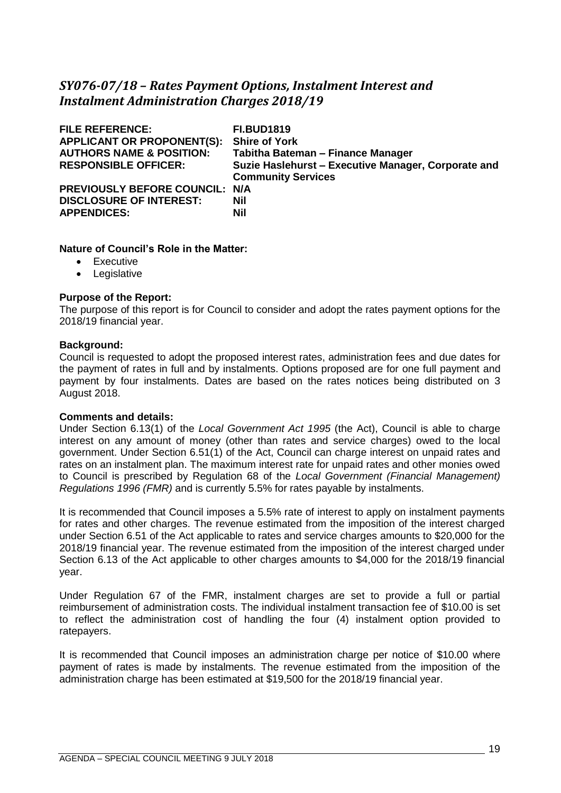## <span id="page-18-0"></span>*SY076-07/18 – Rates Payment Options, Instalment Interest and Instalment Administration Charges 2018/19*

| <b>FILE REFERENCE:</b><br><b>APPLICANT OR PROPONENT(S):</b><br><b>AUTHORS NAME &amp; POSITION:</b><br><b>RESPONSIBLE OFFICER:</b> | <b>FI.BUD1819</b><br><b>Shire of York</b><br>Tabitha Bateman - Finance Manager<br>Suzie Haslehurst - Executive Manager, Corporate and<br><b>Community Services</b> |
|-----------------------------------------------------------------------------------------------------------------------------------|--------------------------------------------------------------------------------------------------------------------------------------------------------------------|
| PREVIOUSLY BEFORE COUNCIL: N/A<br><b>DISCLOSURE OF INTEREST:</b><br><b>APPENDICES:</b>                                            | Nil<br><b>Nil</b>                                                                                                                                                  |

#### **Nature of Council's Role in the Matter:**

- Executive
- Legislative

#### **Purpose of the Report:**

The purpose of this report is for Council to consider and adopt the rates payment options for the 2018/19 financial year.

#### **Background:**

Council is requested to adopt the proposed interest rates, administration fees and due dates for the payment of rates in full and by instalments. Options proposed are for one full payment and payment by four instalments. Dates are based on the rates notices being distributed on 3 August 2018.

#### **Comments and details:**

Under Section 6.13(1) of the *Local Government Act 1995* (the Act), Council is able to charge interest on any amount of money (other than rates and service charges) owed to the local government. Under Section 6.51(1) of the Act, Council can charge interest on unpaid rates and rates on an instalment plan. The maximum interest rate for unpaid rates and other monies owed to Council is prescribed by Regulation 68 of the *Local Government (Financial Management) Regulations 1996 (FMR)* and is currently 5.5% for rates payable by instalments.

It is recommended that Council imposes a 5.5% rate of interest to apply on instalment payments for rates and other charges. The revenue estimated from the imposition of the interest charged under Section 6.51 of the Act applicable to rates and service charges amounts to \$20,000 for the 2018/19 financial year. The revenue estimated from the imposition of the interest charged under Section 6.13 of the Act applicable to other charges amounts to \$4,000 for the 2018/19 financial year.

Under Regulation 67 of the FMR, instalment charges are set to provide a full or partial reimbursement of administration costs. The individual instalment transaction fee of \$10.00 is set to reflect the administration cost of handling the four (4) instalment option provided to ratepayers.

It is recommended that Council imposes an administration charge per notice of \$10.00 where payment of rates is made by instalments. The revenue estimated from the imposition of the administration charge has been estimated at \$19,500 for the 2018/19 financial year.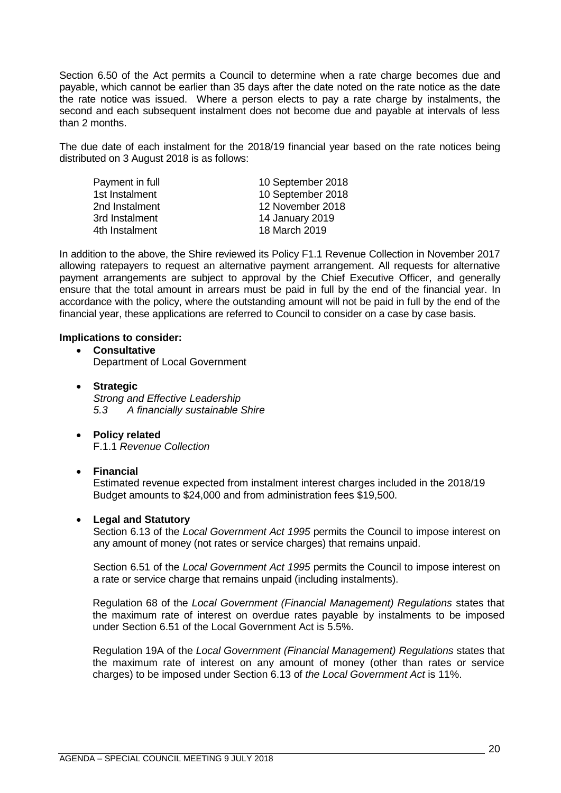Section 6.50 of the Act permits a Council to determine when a rate charge becomes due and payable, which cannot be earlier than 35 days after the date noted on the rate notice as the date the rate notice was issued. Where a person elects to pay a rate charge by instalments, the second and each subsequent instalment does not become due and payable at intervals of less than 2 months.

The due date of each instalment for the 2018/19 financial year based on the rate notices being distributed on 3 August 2018 is as follows:

| 10 September 2018 |
|-------------------|
| 10 September 2018 |
| 12 November 2018  |
| 14 January 2019   |
| 18 March 2019     |
|                   |

In addition to the above, the Shire reviewed its Policy F1.1 Revenue Collection in November 2017 allowing ratepayers to request an alternative payment arrangement. All requests for alternative payment arrangements are subject to approval by the Chief Executive Officer, and generally ensure that the total amount in arrears must be paid in full by the end of the financial year. In accordance with the policy, where the outstanding amount will not be paid in full by the end of the financial year, these applications are referred to Council to consider on a case by case basis.

#### **Implications to consider:**

- **Consultative** Department of Local Government
- **Strategic** *Strong and Effective Leadership 5.3 A financially sustainable Shire*
- **Policy related** F.1.1 *Revenue Collection*

## • **Financial**

Estimated revenue expected from instalment interest charges included in the 2018/19 Budget amounts to \$24,000 and from administration fees \$19,500.

## • **Legal and Statutory**

Section 6.13 of the *Local Government Act 1995* permits the Council to impose interest on any amount of money (not rates or service charges) that remains unpaid.

Section 6.51 of the *Local Government Act 1995* permits the Council to impose interest on a rate or service charge that remains unpaid (including instalments).

Regulation 68 of the *Local Government (Financial Management) Regulations* states that the maximum rate of interest on overdue rates payable by instalments to be imposed under Section 6.51 of the Local Government Act is 5.5%.

Regulation 19A of the *Local Government (Financial Management) Regulations* states that the maximum rate of interest on any amount of money (other than rates or service charges) to be imposed under Section 6.13 of *the Local Government Act* is 11%.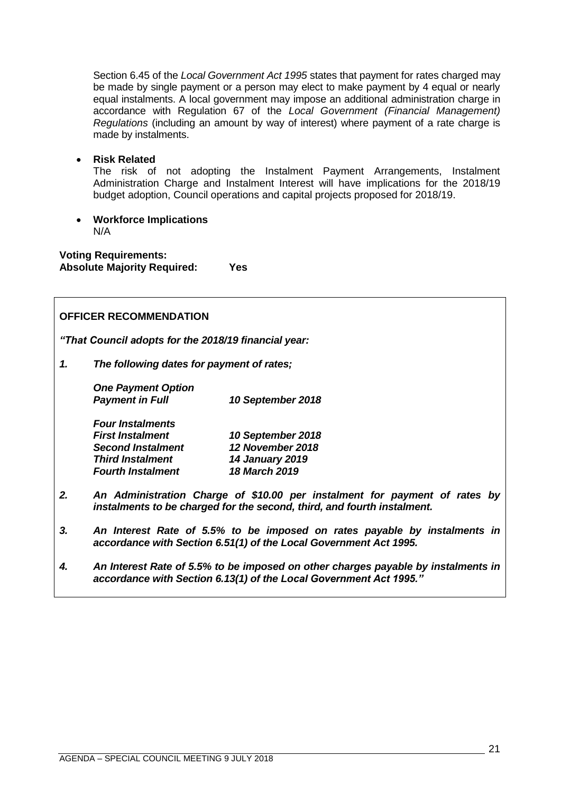Section 6.45 of the *Local Government Act 1995* states that payment for rates charged may be made by single payment or a person may elect to make payment by 4 equal or nearly equal instalments. A local government may impose an additional administration charge in accordance with Regulation 67 of the *Local Government (Financial Management) Regulations* (including an amount by way of interest) where payment of a rate charge is made by instalments.

• **Risk Related**

The risk of not adopting the Instalment Payment Arrangements, Instalment Administration Charge and Instalment Interest will have implications for the 2018/19 budget adoption, Council operations and capital projects proposed for 2018/19.

• **Workforce Implications** N/A

**Voting Requirements: Absolute Majority Required: Yes**

## **OFFICER RECOMMENDATION**

*"That Council adopts for the 2018/19 financial year:*

*1. The following dates for payment of rates;*

 *One Payment Option* 

 *Payment in Full 10 September 2018*

| <b>Four Instalments</b>  |                        |
|--------------------------|------------------------|
| <b>First Instalment</b>  | 10 September 2018      |
| <b>Second Instalment</b> | 12 November 2018       |
| <b>Third Instalment</b>  | <b>14 January 2019</b> |
| <b>Fourth Instalment</b> | 18 March 2019          |

- *2. An Administration Charge of \$10.00 per instalment for payment of rates by instalments to be charged for the second, third, and fourth instalment.*
- *3. An Interest Rate of 5.5% to be imposed on rates payable by instalments in accordance with Section 6.51(1) of the Local Government Act 1995.*
- *4. An Interest Rate of 5.5% to be imposed on other charges payable by instalments in accordance with Section 6.13(1) of the Local Government Act 1995."*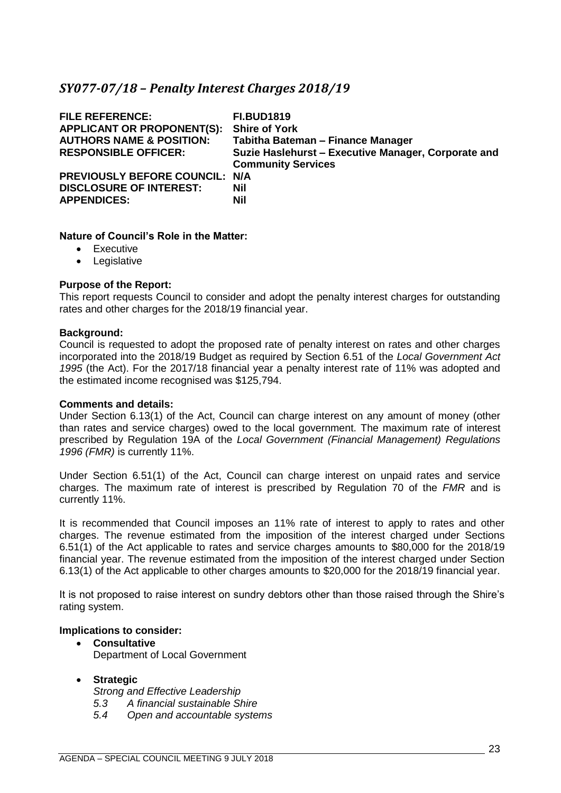## <span id="page-22-0"></span>*SY077-07/18 – Penalty Interest Charges 2018/19*

| <b>FILE REFERENCE:</b><br><b>APPLICANT OR PROPONENT(S):</b><br><b>AUTHORS NAME &amp; POSITION:</b><br><b>RESPONSIBLE OFFICER:</b> | <b>FI.BUD1819</b><br><b>Shire of York</b><br>Tabitha Bateman - Finance Manager<br>Suzie Haslehurst - Executive Manager, Corporate and<br><b>Community Services</b> |
|-----------------------------------------------------------------------------------------------------------------------------------|--------------------------------------------------------------------------------------------------------------------------------------------------------------------|
| PREVIOUSLY BEFORE COUNCIL: N/A<br><b>DISCLOSURE OF INTEREST:</b><br><b>APPENDICES:</b>                                            | Nil<br><b>Nil</b>                                                                                                                                                  |

## **Nature of Council's Role in the Matter:**

- Executive
- Legislative

#### **Purpose of the Report:**

This report requests Council to consider and adopt the penalty interest charges for outstanding rates and other charges for the 2018/19 financial year.

#### **Background:**

Council is requested to adopt the proposed rate of penalty interest on rates and other charges incorporated into the 2018/19 Budget as required by Section 6.51 of the *Local Government Act 1995* (the Act). For the 2017/18 financial year a penalty interest rate of 11% was adopted and the estimated income recognised was \$125,794.

#### **Comments and details:**

Under Section 6.13(1) of the Act, Council can charge interest on any amount of money (other than rates and service charges) owed to the local government. The maximum rate of interest prescribed by Regulation 19A of the *Local Government (Financial Management) Regulations 1996 (FMR)* is currently 11%.

Under Section 6.51(1) of the Act, Council can charge interest on unpaid rates and service charges. The maximum rate of interest is prescribed by Regulation 70 of the *FMR* and is currently 11%.

It is recommended that Council imposes an 11% rate of interest to apply to rates and other charges. The revenue estimated from the imposition of the interest charged under Sections 6.51(1) of the Act applicable to rates and service charges amounts to \$80,000 for the 2018/19 financial year. The revenue estimated from the imposition of the interest charged under Section 6.13(1) of the Act applicable to other charges amounts to \$20,000 for the 2018/19 financial year.

It is not proposed to raise interest on sundry debtors other than those raised through the Shire's rating system.

## **Implications to consider:**

• **Consultative** Department of Local Government

## • **Strategic**

*Strong and Effective Leadership*

*5.3 A financial sustainable Shire*

*5.4 Open and accountable systems*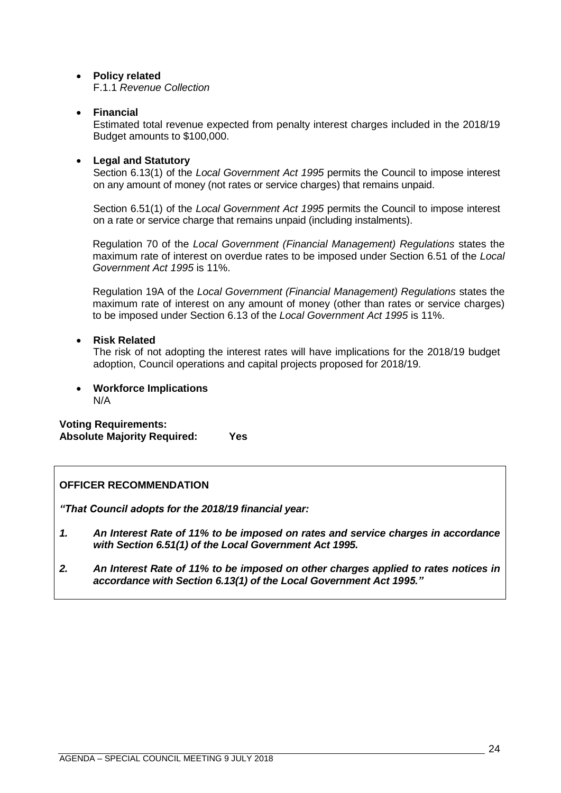## • **Policy related**

F.1.1 *Revenue Collection*

## • **Financial**

Estimated total revenue expected from penalty interest charges included in the 2018/19 Budget amounts to \$100,000.

## • **Legal and Statutory**

Section 6.13(1) of the *Local Government Act 1995* permits the Council to impose interest on any amount of money (not rates or service charges) that remains unpaid.

Section 6.51(1) of the *Local Government Act 1995* permits the Council to impose interest on a rate or service charge that remains unpaid (including instalments).

Regulation 70 of the *Local Government (Financial Management) Regulations* states the maximum rate of interest on overdue rates to be imposed under Section 6.51 of the *Local Government Act 1995* is 11%.

Regulation 19A of the *Local Government (Financial Management) Regulations* states the maximum rate of interest on any amount of money (other than rates or service charges) to be imposed under Section 6.13 of the *Local Government Act 1995* is 11%.

## • **Risk Related**

The risk of not adopting the interest rates will have implications for the 2018/19 budget adoption, Council operations and capital projects proposed for 2018/19.

• **Workforce Implications** N/A

**Voting Requirements: Absolute Majority Required: Yes**

## **OFFICER RECOMMENDATION**

*"That Council adopts for the 2018/19 financial year:*

- *1. An Interest Rate of 11% to be imposed on rates and service charges in accordance with Section 6.51(1) of the Local Government Act 1995.*
- *2. An Interest Rate of 11% to be imposed on other charges applied to rates notices in accordance with Section 6.13(1) of the Local Government Act 1995."*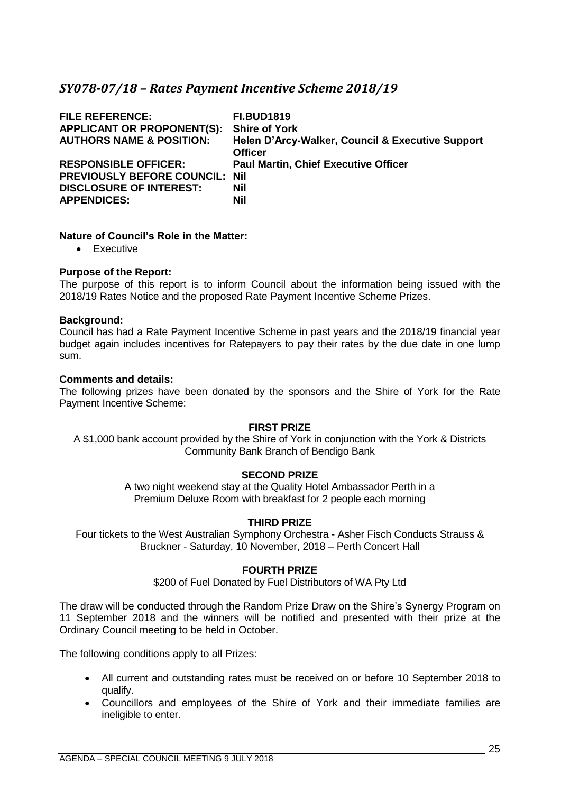## <span id="page-24-0"></span>*SY078-07/18 – Rates Payment Incentive Scheme 2018/19*

| <b>FILE REFERENCE:</b><br><b>APPLICANT OR PROPONENT(S):</b><br><b>AUTHORS NAME &amp; POSITION:</b>                           | <b>FI.BUD1819</b><br><b>Shire of York</b><br>Helen D'Arcy-Walker, Council & Executive Support<br><b>Officer</b> |
|------------------------------------------------------------------------------------------------------------------------------|-----------------------------------------------------------------------------------------------------------------|
| <b>RESPONSIBLE OFFICER:</b><br><b>PREVIOUSLY BEFORE COUNCIL: Nil</b><br><b>DISCLOSURE OF INTEREST:</b><br><b>APPENDICES:</b> | <b>Paul Martin, Chief Executive Officer</b><br>Nil<br>Nil                                                       |

## **Nature of Council's Role in the Matter:**

• Executive

#### **Purpose of the Report:**

The purpose of this report is to inform Council about the information being issued with the 2018/19 Rates Notice and the proposed Rate Payment Incentive Scheme Prizes.

#### **Background:**

Council has had a Rate Payment Incentive Scheme in past years and the 2018/19 financial year budget again includes incentives for Ratepayers to pay their rates by the due date in one lump sum.

#### **Comments and details:**

The following prizes have been donated by the sponsors and the Shire of York for the Rate Payment Incentive Scheme:

#### **FIRST PRIZE**

A \$1,000 bank account provided by the Shire of York in conjunction with the York & Districts Community Bank Branch of Bendigo Bank

## **SECOND PRIZE**

A two night weekend stay at the Quality Hotel Ambassador Perth in a Premium Deluxe Room with breakfast for 2 people each morning

## **THIRD PRIZE**

Four tickets to the West Australian Symphony Orchestra - Asher Fisch Conducts Strauss & Bruckner - Saturday, 10 November, 2018 – Perth Concert Hall

#### **FOURTH PRIZE**

\$200 of Fuel Donated by Fuel Distributors of WA Pty Ltd

The draw will be conducted through the Random Prize Draw on the Shire's Synergy Program on 11 September 2018 and the winners will be notified and presented with their prize at the Ordinary Council meeting to be held in October.

The following conditions apply to all Prizes:

- All current and outstanding rates must be received on or before 10 September 2018 to qualify.
- Councillors and employees of the Shire of York and their immediate families are ineligible to enter.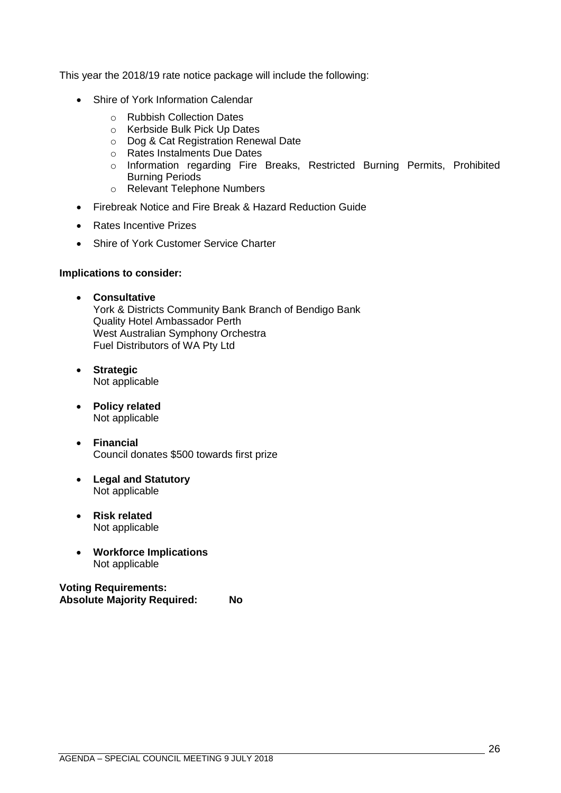This year the 2018/19 rate notice package will include the following:

- Shire of York Information Calendar
	- o Rubbish Collection Dates
	- o Kerbside Bulk Pick Up Dates
	- o Dog & Cat Registration Renewal Date
	- o Rates Instalments Due Dates
	- o Information regarding Fire Breaks, Restricted Burning Permits, Prohibited Burning Periods
	- o Relevant Telephone Numbers
- Firebreak Notice and Fire Break & Hazard Reduction Guide
- Rates Incentive Prizes
- Shire of York Customer Service Charter

### **Implications to consider:**

- **Consultative** York & Districts Community Bank Branch of Bendigo Bank Quality Hotel Ambassador Perth West Australian Symphony Orchestra Fuel Distributors of WA Pty Ltd
- **Strategic** Not applicable
- **Policy related** Not applicable
- **Financial** Council donates \$500 towards first prize
- **Legal and Statutory** Not applicable
- **Risk related** Not applicable
- **Workforce Implications** Not applicable

**Voting Requirements: Absolute Majority Required: No**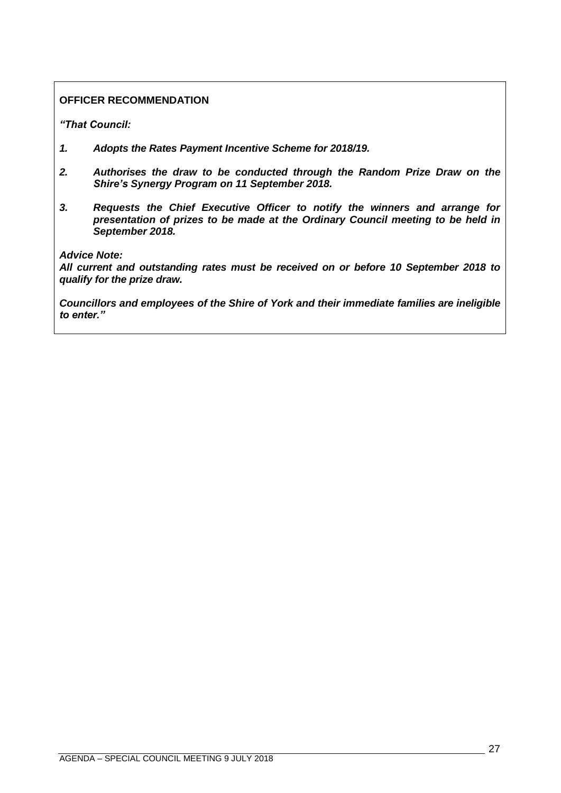## **OFFICER RECOMMENDATION**

*"That Council:*

- *1. Adopts the Rates Payment Incentive Scheme for 2018/19.*
- *2. Authorises the draw to be conducted through the Random Prize Draw on the Shire's Synergy Program on 11 September 2018.*
- *3. Requests the Chief Executive Officer to notify the winners and arrange for presentation of prizes to be made at the Ordinary Council meeting to be held in September 2018.*

*Advice Note:*

*All current and outstanding rates must be received on or before 10 September 2018 to qualify for the prize draw.*

*Councillors and employees of the Shire of York and their immediate families are ineligible to enter."*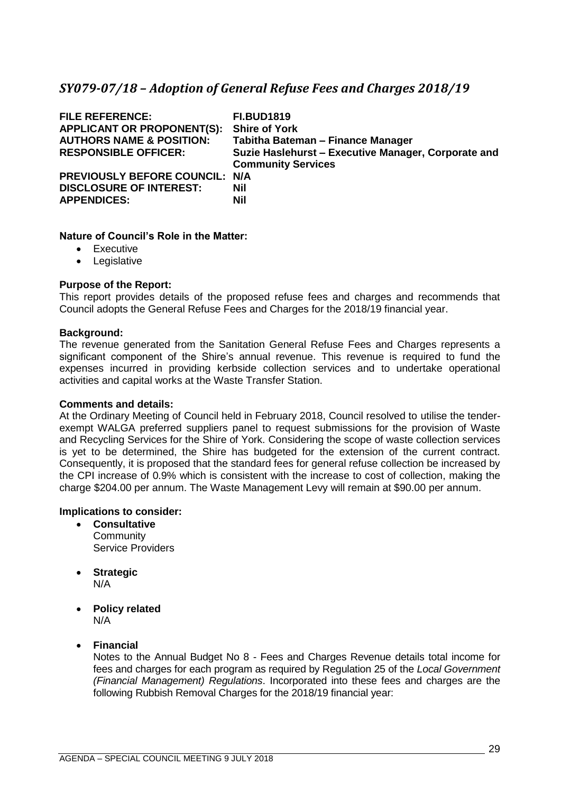## <span id="page-28-0"></span>*SY079-07/18 – Adoption of General Refuse Fees and Charges 2018/19*

| <b>FILE REFERENCE:</b><br><b>APPLICANT OR PROPONENT(S):</b><br><b>AUTHORS NAME &amp; POSITION:</b><br><b>RESPONSIBLE OFFICER:</b> | <b>FI.BUD1819</b><br><b>Shire of York</b><br>Tabitha Bateman - Finance Manager<br>Suzie Haslehurst - Executive Manager, Corporate and<br><b>Community Services</b> |
|-----------------------------------------------------------------------------------------------------------------------------------|--------------------------------------------------------------------------------------------------------------------------------------------------------------------|
| PREVIOUSLY BEFORE COUNCIL: N/A<br><b>DISCLOSURE OF INTEREST:</b><br><b>APPENDICES:</b>                                            | Nil<br><b>Nil</b>                                                                                                                                                  |

## **Nature of Council's Role in the Matter:**

- Executive
- Legislative

#### **Purpose of the Report:**

This report provides details of the proposed refuse fees and charges and recommends that Council adopts the General Refuse Fees and Charges for the 2018/19 financial year.

#### **Background:**

The revenue generated from the Sanitation General Refuse Fees and Charges represents a significant component of the Shire's annual revenue. This revenue is required to fund the expenses incurred in providing kerbside collection services and to undertake operational activities and capital works at the Waste Transfer Station.

#### **Comments and details:**

At the Ordinary Meeting of Council held in February 2018, Council resolved to utilise the tenderexempt WALGA preferred suppliers panel to request submissions for the provision of Waste and Recycling Services for the Shire of York. Considering the scope of waste collection services is yet to be determined, the Shire has budgeted for the extension of the current contract. Consequently, it is proposed that the standard fees for general refuse collection be increased by the CPI increase of 0.9% which is consistent with the increase to cost of collection, making the charge \$204.00 per annum. The Waste Management Levy will remain at \$90.00 per annum.

## **Implications to consider:**

- **Consultative Community** Service Providers
- **Strategic** N/A
- **Policy related** N/A

## • **Financial**

Notes to the Annual Budget No 8 - Fees and Charges Revenue details total income for fees and charges for each program as required by Regulation 25 of the *Local Government (Financial Management) Regulations*. Incorporated into these fees and charges are the following Rubbish Removal Charges for the 2018/19 financial year: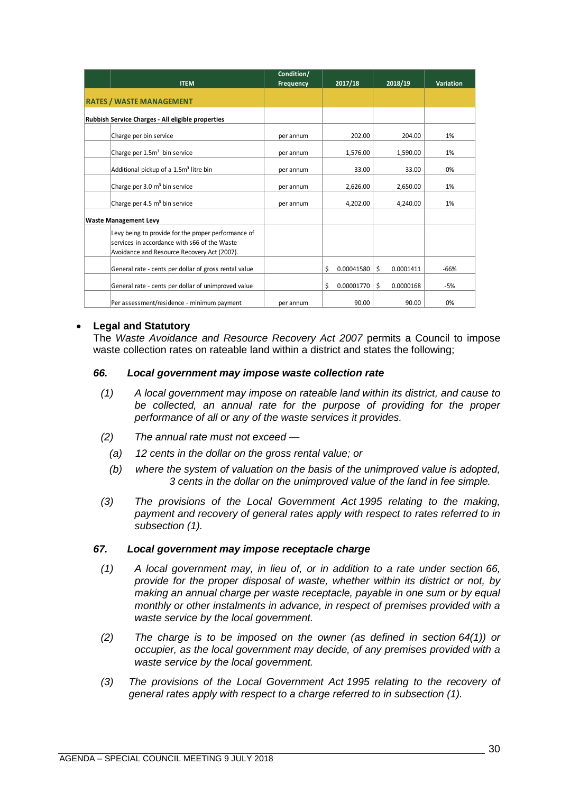|                                                                                                                                                    | Condition/ |                  |                 |                  |
|----------------------------------------------------------------------------------------------------------------------------------------------------|------------|------------------|-----------------|------------------|
| <b>ITEM</b>                                                                                                                                        | Frequency  | 2017/18          | 2018/19         | <b>Variation</b> |
| <b>RATES / WASTE MANAGEMENT</b>                                                                                                                    |            |                  |                 |                  |
| Rubbish Service Charges - All eligible properties                                                                                                  |            |                  |                 |                  |
| Charge per bin service                                                                                                                             | per annum  | 202.00           | 204.00          | 1%               |
| Charge per 1.5m <sup>3</sup> bin service                                                                                                           | per annum  | 1,576.00         | 1,590.00        | 1%               |
| Additional pickup of a 1.5m <sup>3</sup> litre bin                                                                                                 | per annum  | 33.00            | 33.00           | 0%               |
| Charge per 3.0 m <sup>3</sup> bin service                                                                                                          | per annum  | 2,626.00         | 2,650.00        | 1%               |
| Charge per 4.5 m <sup>3</sup> bin service                                                                                                          | per annum  | 4,202.00         | 4,240.00        | 1%               |
| <b>Waste Management Levy</b>                                                                                                                       |            |                  |                 |                  |
| Levy being to provide for the proper performance of<br>services in accordance with s66 of the Waste<br>Avoidance and Resource Recovery Act (2007). |            |                  |                 |                  |
| General rate - cents per dollar of gross rental value                                                                                              |            | \$<br>0.00041580 | \$<br>0.0001411 | $-66%$           |
| General rate - cents per dollar of unimproved value                                                                                                |            | \$<br>0.00001770 | \$<br>0.0000168 | -5%              |
| Per assessment/residence - minimum payment                                                                                                         | per annum  | 90.00            | 90.00           | 0%               |

#### • **Legal and Statutory**

The *Waste Avoidance and Resource Recovery Act 2007* permits a Council to impose waste collection rates on rateable land within a district and states the following;

#### *66. Local government may impose waste collection rate*

- *(1) A local government may impose on rateable land within its district, and cause to be collected, an annual rate for the purpose of providing for the proper performance of all or any of the waste services it provides.*
- *(2) The annual rate must not exceed —*
	- *(a) 12 cents in the dollar on the gross rental value; or*
	- *(b) where the system of valuation on the basis of the unimproved value is adopted, 3 cents in the dollar on the unimproved value of the land in fee simple.*
- *(3) The provisions of the Local Government Act 1995 relating to the making, payment and recovery of general rates apply with respect to rates referred to in subsection (1).*

#### *67. Local government may impose receptacle charge*

- *(1) A local government may, in lieu of, or in addition to a rate under section 66, provide for the proper disposal of waste, whether within its district or not, by making an annual charge per waste receptacle, payable in one sum or by equal monthly or other instalments in advance, in respect of premises provided with a waste service by the local government.*
- *(2) The charge is to be imposed on the owner (as defined in section 64(1)) or occupier, as the local government may decide, of any premises provided with a waste service by the local government.*
- *(3) The provisions of the Local Government Act 1995 relating to the recovery of general rates apply with respect to a charge referred to in subsection (1).*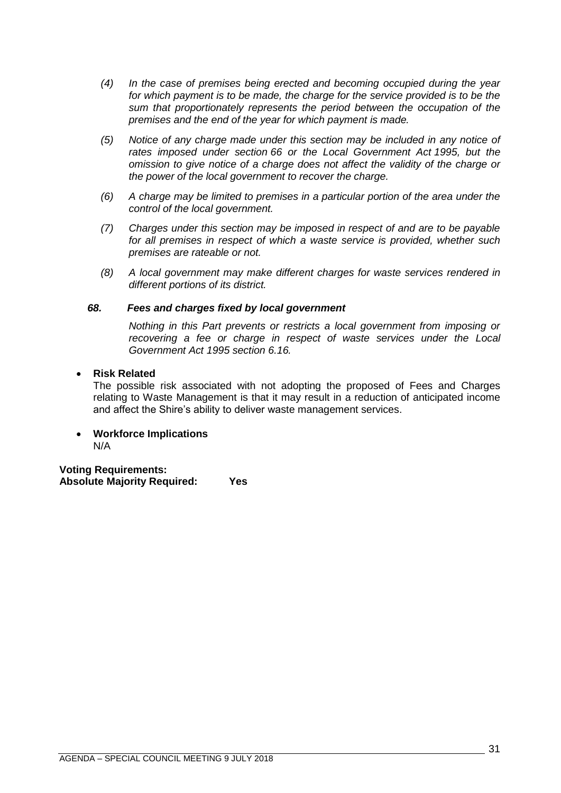- *(4) In the case of premises being erected and becoming occupied during the year for which payment is to be made, the charge for the service provided is to be the sum that proportionately represents the period between the occupation of the premises and the end of the year for which payment is made.*
- *(5) Notice of any charge made under this section may be included in any notice of rates imposed under section 66 or the Local Government Act 1995, but the omission to give notice of a charge does not affect the validity of the charge or the power of the local government to recover the charge.*
- *(6) A charge may be limited to premises in a particular portion of the area under the control of the local government.*
- *(7) Charges under this section may be imposed in respect of and are to be payable*  for all premises in respect of which a waste service is provided, whether such *premises are rateable or not.*
- *(8) A local government may make different charges for waste services rendered in different portions of its district.*

## *68. Fees and charges fixed by local government*

*Nothing in this Part prevents or restricts a local government from imposing or recovering a fee or charge in respect of waste services under the Local Government Act 1995 section 6.16.*

## • **Risk Related**

The possible risk associated with not adopting the proposed of Fees and Charges relating to Waste Management is that it may result in a reduction of anticipated income and affect the Shire's ability to deliver waste management services.

#### • **Workforce Implications** N/A

**Voting Requirements: Absolute Majority Required: Yes**

AGENDA – SPECIAL COUNCIL MEETING 9 JULY 2018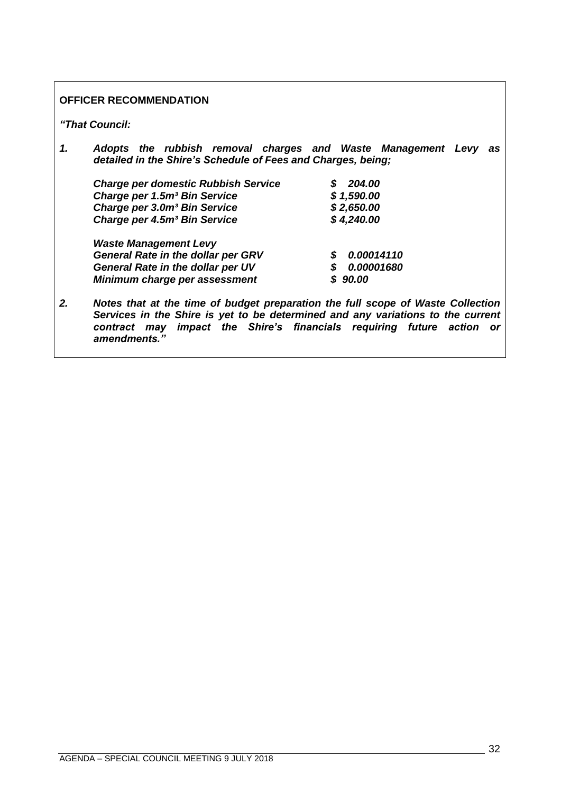## **OFFICER RECOMMENDATION**

*"That Council:*

*1. Adopts the rubbish removal charges and Waste Management Levy as detailed in the Shire's Schedule of Fees and Charges, being;*

| <b>Charge per domestic Rubbish Service</b> | 204.00     |
|--------------------------------------------|------------|
| Charge per 1.5m <sup>3</sup> Bin Service   | \$1,590.00 |
| Charge per 3.0m <sup>3</sup> Bin Service   | \$2,650.00 |
| Charge per 4.5m <sup>3</sup> Bin Service   | \$4,240.00 |
| <b>Waste Management Levy</b>               |            |
| <b>General Rate in the dollar per GRV</b>  | 0.00014110 |
|                                            |            |

*General Rate in the dollar per UV \$ 0.00001680*

- *Minimum charge per assessment \$ 90.00*
- *2. Notes that at the time of budget preparation the full scope of Waste Collection Services in the Shire is yet to be determined and any variations to the current contract may impact the Shire's financials requiring future action or amendments."*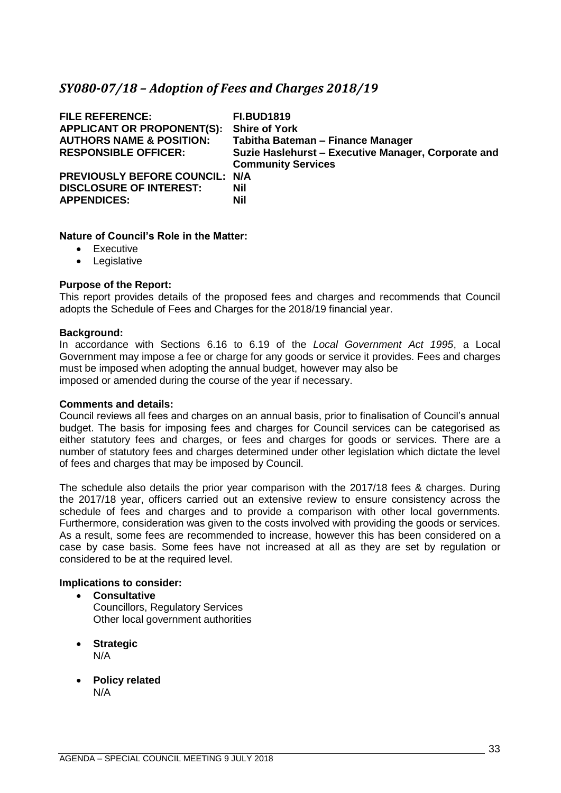## <span id="page-32-0"></span>*SY080-07/18 – Adoption of Fees and Charges 2018/19*

| <b>FILE REFERENCE:</b><br><b>APPLICANT OR PROPONENT(S):</b><br><b>AUTHORS NAME &amp; POSITION:</b><br><b>RESPONSIBLE OFFICER:</b> | <b>FI.BUD1819</b><br><b>Shire of York</b><br>Tabitha Bateman - Finance Manager<br>Suzie Haslehurst - Executive Manager, Corporate and<br><b>Community Services</b> |
|-----------------------------------------------------------------------------------------------------------------------------------|--------------------------------------------------------------------------------------------------------------------------------------------------------------------|
| <b>PREVIOUSLY BEFORE COUNCIL: N/A</b><br><b>DISCLOSURE OF INTEREST:</b><br><b>APPENDICES:</b>                                     | Nil<br><b>Nil</b>                                                                                                                                                  |

## **Nature of Council's Role in the Matter:**

- Executive
- Legislative

#### **Purpose of the Report:**

This report provides details of the proposed fees and charges and recommends that Council adopts the Schedule of Fees and Charges for the 2018/19 financial year.

#### **Background:**

In accordance with Sections 6.16 to 6.19 of the *Local Government Act 1995*, a Local Government may impose a fee or charge for any goods or service it provides. Fees and charges must be imposed when adopting the annual budget, however may also be imposed or amended during the course of the year if necessary.

#### **Comments and details:**

Council reviews all fees and charges on an annual basis, prior to finalisation of Council's annual budget. The basis for imposing fees and charges for Council services can be categorised as either statutory fees and charges, or fees and charges for goods or services. There are a number of statutory fees and charges determined under other legislation which dictate the level of fees and charges that may be imposed by Council.

The schedule also details the prior year comparison with the 2017/18 fees & charges. During the 2017/18 year, officers carried out an extensive review to ensure consistency across the schedule of fees and charges and to provide a comparison with other local governments. Furthermore, consideration was given to the costs involved with providing the goods or services. As a result, some fees are recommended to increase, however this has been considered on a case by case basis. Some fees have not increased at all as they are set by regulation or considered to be at the required level.

## **Implications to consider:**

- **Consultative** Councillors, Regulatory Services Other local government authorities
- **Strategic** N/A
- **Policy related** N/A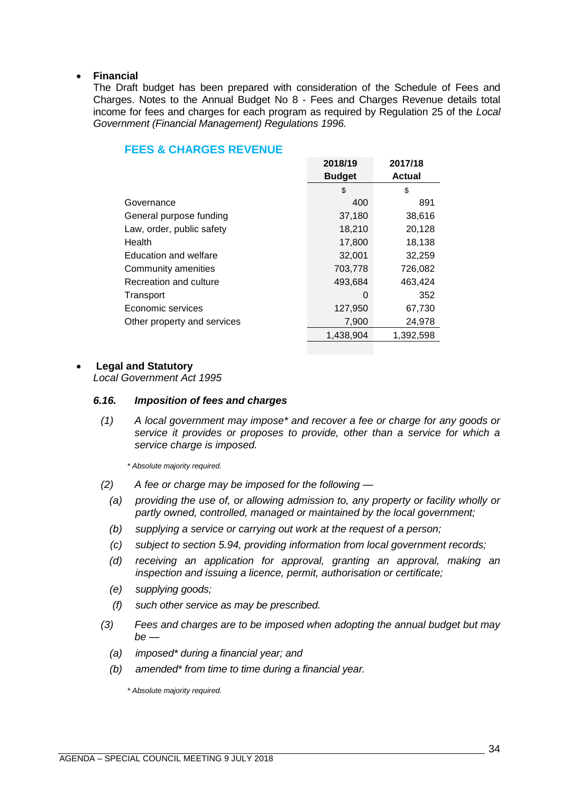### • **Financial**

The Draft budget has been prepared with consideration of the Schedule of Fees and Charges. Notes to the Annual Budget No 8 - Fees and Charges Revenue details total income for fees and charges for each program as required by Regulation 25 of the *Local Government (Financial Management) Regulations 1996.*

|                             | 2018/19       | 2017/18       |
|-----------------------------|---------------|---------------|
|                             | <b>Budget</b> | <b>Actual</b> |
|                             | \$            | \$            |
| Governance                  | 400           | 891           |
| General purpose funding     | 37,180        | 38,616        |
| Law, order, public safety   | 18,210        | 20,128        |
| Health                      | 17,800        | 18,138        |
| Education and welfare       | 32,001        | 32,259        |
| Community amenities         | 703,778       | 726,082       |
| Recreation and culture      | 493,684       | 463,424       |
| Transport                   | 0             | 352           |
| Economic services           | 127,950       | 67,730        |
| Other property and services | 7,900         | 24,978        |
|                             | 1.438.904     | 1,392,598     |

## **FEES & CHARGES REVENUE**

#### • **Legal and Statutory**

*Local Government Act 1995*

#### *6.16. Imposition of fees and charges*

*(1) A local government may impose\* and recover a fee or charge for any goods or service it provides or proposes to provide, other than a service for which a service charge is imposed.*

*\* Absolute majority required.*

- *(2) A fee or charge may be imposed for the following —*
	- *(a) providing the use of, or allowing admission to, any property or facility wholly or partly owned, controlled, managed or maintained by the local government;*
	- *(b) supplying a service or carrying out work at the request of a person;*
	- *(c) subject to section 5.94, providing information from local government records;*
	- *(d) receiving an application for approval, granting an approval, making an inspection and issuing a licence, permit, authorisation or certificate;*
	- *(e) supplying goods;*
	- *(f) such other service as may be prescribed.*
- *(3) Fees and charges are to be imposed when adopting the annual budget but may be —*
	- *(a) imposed\* during a financial year; and*
	- *(b) amended\* from time to time during a financial year.*

*\* Absolute majority required.*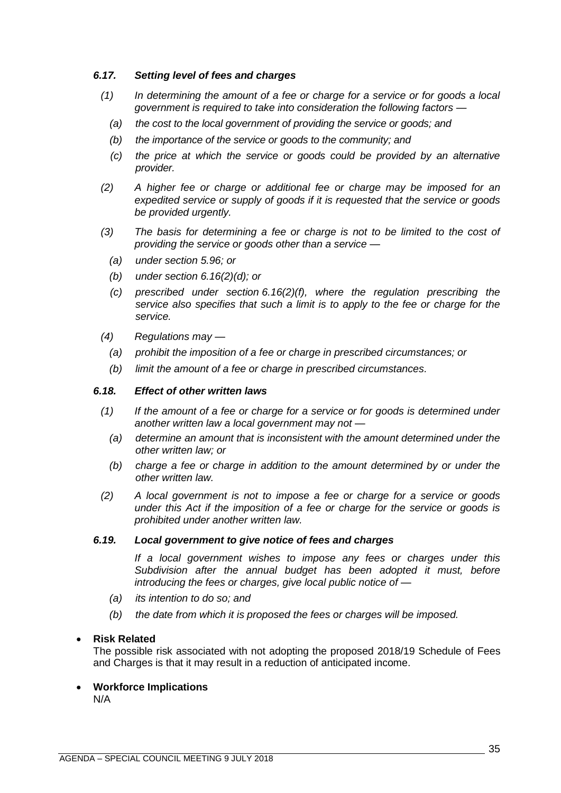## *6.17. Setting level of fees and charges*

- *(1) In determining the amount of a fee or charge for a service or for goods a local government is required to take into consideration the following factors —*
	- *(a) the cost to the local government of providing the service or goods; and*
	- *(b) the importance of the service or goods to the community; and*
	- *(c) the price at which the service or goods could be provided by an alternative provider.*
- *(2) A higher fee or charge or additional fee or charge may be imposed for an expedited service or supply of goods if it is requested that the service or goods be provided urgently.*
- *(3) The basis for determining a fee or charge is not to be limited to the cost of providing the service or goods other than a service —*
	- *(a) under section 5.96; or*
	- *(b) under section 6.16(2)(d); or*
	- *(c) prescribed under section 6.16(2)(f), where the regulation prescribing the service also specifies that such a limit is to apply to the fee or charge for the service.*
- *(4) Regulations may —*
	- *(a) prohibit the imposition of a fee or charge in prescribed circumstances; or*
	- *(b) limit the amount of a fee or charge in prescribed circumstances.*

#### *6.18. Effect of other written laws*

- *(1) If the amount of a fee or charge for a service or for goods is determined under another written law a local government may not —*
	- *(a) determine an amount that is inconsistent with the amount determined under the other written law; or*
	- *(b) charge a fee or charge in addition to the amount determined by or under the other written law.*
- *(2) A local government is not to impose a fee or charge for a service or goods under this Act if the imposition of a fee or charge for the service or goods is prohibited under another written law.*

#### *6.19. Local government to give notice of fees and charges*

*If a local government wishes to impose any fees or charges under this Subdivision after the annual budget has been adopted it must, before introducing the fees or charges, give local public notice of —*

- *(a) its intention to do so; and*
- *(b) the date from which it is proposed the fees or charges will be imposed.*

## • **Risk Related**

The possible risk associated with not adopting the proposed 2018/19 Schedule of Fees and Charges is that it may result in a reduction of anticipated income.

• **Workforce Implications**

N/A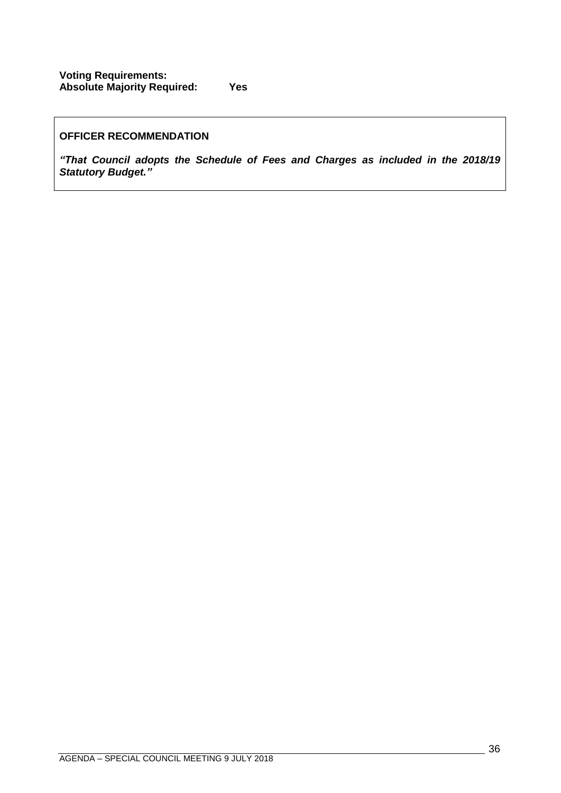## **OFFICER RECOMMENDATION**

*"That Council adopts the Schedule of Fees and Charges as included in the 2018/19 Statutory Budget."*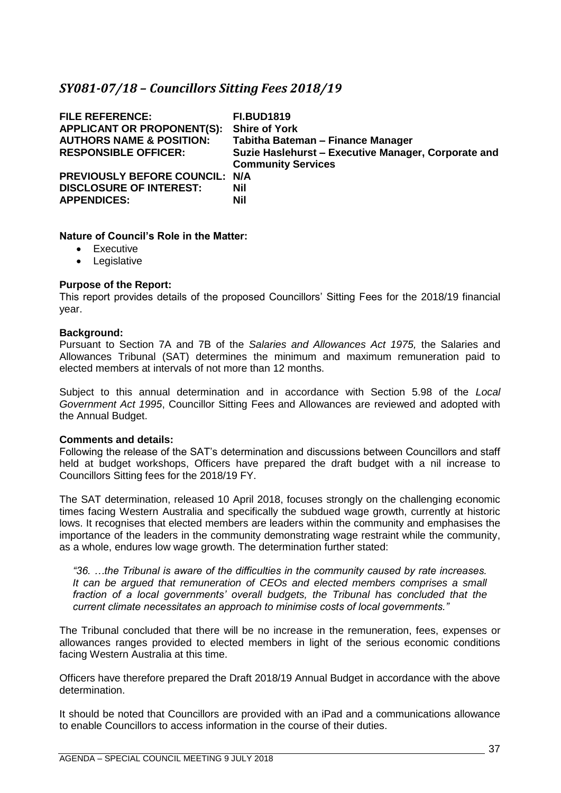## <span id="page-36-0"></span>*SY081-07/18 – Councillors Sitting Fees 2018/19*

| <b>FILE REFERENCE:</b><br><b>APPLICANT OR PROPONENT(S):</b><br><b>AUTHORS NAME &amp; POSITION:</b><br><b>RESPONSIBLE OFFICER:</b> | <b>FI.BUD1819</b><br><b>Shire of York</b><br>Tabitha Bateman - Finance Manager<br>Suzie Haslehurst - Executive Manager, Corporate and<br><b>Community Services</b> |
|-----------------------------------------------------------------------------------------------------------------------------------|--------------------------------------------------------------------------------------------------------------------------------------------------------------------|
| PREVIOUSLY BEFORE COUNCIL: N/A<br><b>DISCLOSURE OF INTEREST:</b><br><b>APPENDICES:</b>                                            | <b>Nil</b><br><b>Nil</b>                                                                                                                                           |

## **Nature of Council's Role in the Matter:**

- Executive
- Legislative

#### **Purpose of the Report:**

This report provides details of the proposed Councillors' Sitting Fees for the 2018/19 financial year.

#### **Background:**

Pursuant to Section 7A and 7B of the *Salaries and Allowances Act 1975,* the Salaries and Allowances Tribunal (SAT) determines the minimum and maximum remuneration paid to elected members at intervals of not more than 12 months.

Subject to this annual determination and in accordance with Section 5.98 of the *Local Government Act 1995*, Councillor Sitting Fees and Allowances are reviewed and adopted with the Annual Budget.

#### **Comments and details:**

Following the release of the SAT's determination and discussions between Councillors and staff held at budget workshops, Officers have prepared the draft budget with a nil increase to Councillors Sitting fees for the 2018/19 FY.

The SAT determination, released 10 April 2018, focuses strongly on the challenging economic times facing Western Australia and specifically the subdued wage growth, currently at historic lows. It recognises that elected members are leaders within the community and emphasises the importance of the leaders in the community demonstrating wage restraint while the community, as a whole, endures low wage growth. The determination further stated:

*"36. …the Tribunal is aware of the difficulties in the community caused by rate increases. It can be argued that remuneration of CEOs and elected members comprises a small fraction of a local governments' overall budgets, the Tribunal has concluded that the current climate necessitates an approach to minimise costs of local governments."*

The Tribunal concluded that there will be no increase in the remuneration, fees, expenses or allowances ranges provided to elected members in light of the serious economic conditions facing Western Australia at this time.

Officers have therefore prepared the Draft 2018/19 Annual Budget in accordance with the above determination.

It should be noted that Councillors are provided with an iPad and a communications allowance to enable Councillors to access information in the course of their duties.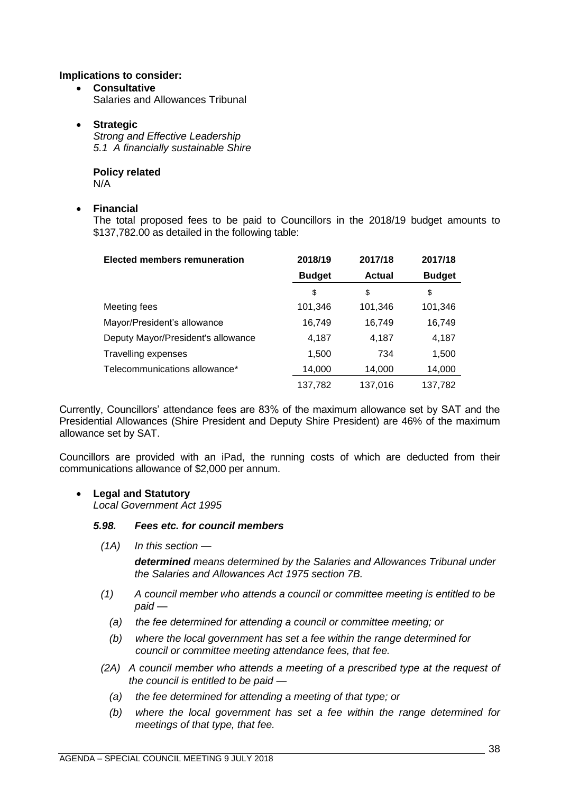### **Implications to consider:**

• **Consultative** Salaries and Allowances Tribunal

#### • **Strategic**

*Strong and Effective Leadership 5.1 A financially sustainable Shire*

**Policy related** N/A

#### • **Financial**

The total proposed fees to be paid to Councillors in the 2018/19 budget amounts to \$137,782.00 as detailed in the following table:

| <b>Elected members remuneration</b> | 2018/19       | 2017/18       | 2017/18       |
|-------------------------------------|---------------|---------------|---------------|
|                                     | <b>Budget</b> | <b>Actual</b> | <b>Budget</b> |
|                                     | \$            | \$            | \$            |
| Meeting fees                        | 101,346       | 101,346       | 101,346       |
| Mayor/President's allowance         | 16,749        | 16,749        | 16,749        |
| Deputy Mayor/President's allowance  | 4,187         | 4,187         | 4,187         |
| <b>Travelling expenses</b>          | 1,500         | 734           | 1,500         |
| Telecommunications allowance*       | 14,000        | 14,000        | 14,000        |
|                                     | 137,782       | 137,016       | 137,782       |

Currently, Councillors' attendance fees are 83% of the maximum allowance set by SAT and the Presidential Allowances (Shire President and Deputy Shire President) are 46% of the maximum allowance set by SAT.

Councillors are provided with an iPad, the running costs of which are deducted from their communications allowance of \$2,000 per annum.

## • **Legal and Statutory**

*Local Government Act 1995*

#### *5.98. Fees etc. for council members*

*(1A) In this section —*

*determined means determined by the Salaries and Allowances Tribunal under the Salaries and Allowances Act 1975 section 7B.*

- *(1) A council member who attends a council or committee meeting is entitled to be paid —*
	- *(a) the fee determined for attending a council or committee meeting; or*
	- *(b) where the local government has set a fee within the range determined for council or committee meeting attendance fees, that fee.*
- *(2A) A council member who attends a meeting of a prescribed type at the request of the council is entitled to be paid —*
	- *(a) the fee determined for attending a meeting of that type; or*
	- *(b) where the local government has set a fee within the range determined for meetings of that type, that fee.*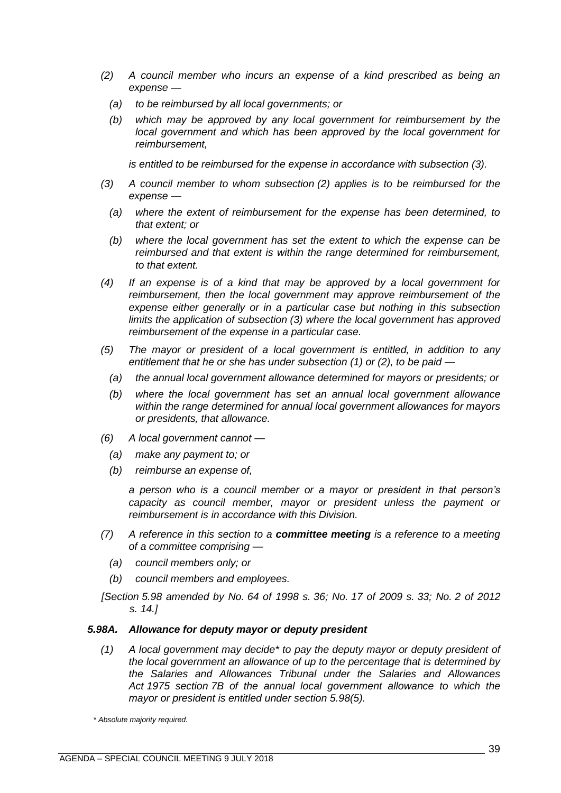- *(2) A council member who incurs an expense of a kind prescribed as being an expense —*
	- *(a) to be reimbursed by all local governments; or*
	- *(b) which may be approved by any local government for reimbursement by the local government and which has been approved by the local government for reimbursement,*

*is entitled to be reimbursed for the expense in accordance with subsection (3).*

- *(3) A council member to whom subsection (2) applies is to be reimbursed for the expense —*
	- *(a) where the extent of reimbursement for the expense has been determined, to that extent; or*
	- *(b) where the local government has set the extent to which the expense can be reimbursed and that extent is within the range determined for reimbursement, to that extent.*
- *(4) If an expense is of a kind that may be approved by a local government for reimbursement, then the local government may approve reimbursement of the expense either generally or in a particular case but nothing in this subsection limits the application of subsection (3) where the local government has approved reimbursement of the expense in a particular case.*
- *(5) The mayor or president of a local government is entitled, in addition to any entitlement that he or she has under subsection (1) or (2), to be paid —*
	- *(a) the annual local government allowance determined for mayors or presidents; or*
	- *(b) where the local government has set an annual local government allowance within the range determined for annual local government allowances for mayors or presidents, that allowance.*
- *(6) A local government cannot —*
	- *(a) make any payment to; or*
	- *(b) reimburse an expense of,*

*a person who is a council member or a mayor or president in that person's capacity as council member, mayor or president unless the payment or reimbursement is in accordance with this Division.*

- *(7) A reference in this section to a committee meeting is a reference to a meeting of a committee comprising —*
	- *(a) council members only; or*
	- *(b) council members and employees.*
- *[Section 5.98 amended by No. 64 of 1998 s. 36; No. 17 of 2009 s. 33; No. 2 of 2012 s. 14.]*

#### *5.98A. Allowance for deputy mayor or deputy president*

*(1) A local government may decide\* to pay the deputy mayor or deputy president of the local government an allowance of up to the percentage that is determined by the Salaries and Allowances Tribunal under the Salaries and Allowances Act 1975 section 7B of the annual local government allowance to which the mayor or president is entitled under section 5.98(5).*

*\* Absolute majority required.*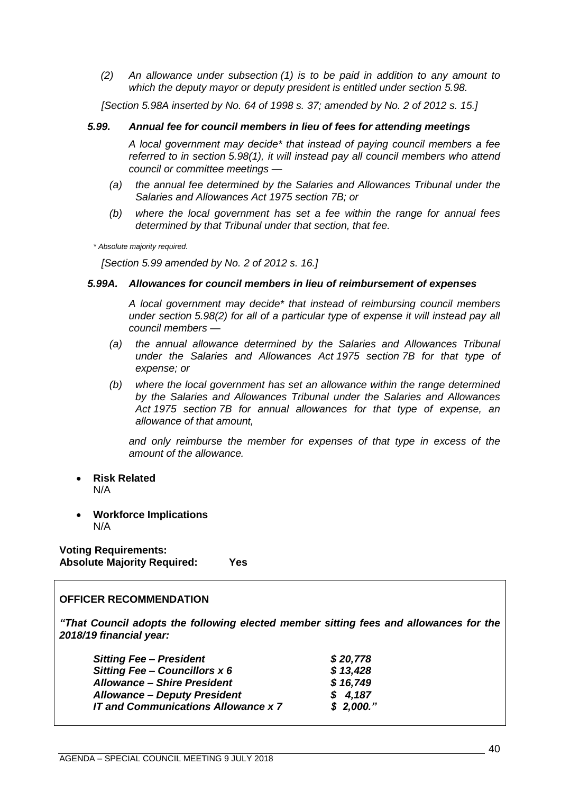*(2) An allowance under subsection (1) is to be paid in addition to any amount to which the deputy mayor or deputy president is entitled under section 5.98.*

*[Section 5.98A inserted by No. 64 of 1998 s. 37; amended by No. 2 of 2012 s. 15.]*

#### *5.99. Annual fee for council members in lieu of fees for attending meetings*

*A local government may decide\* that instead of paying council members a fee referred to in section 5.98(1), it will instead pay all council members who attend council or committee meetings —*

- *(a) the annual fee determined by the Salaries and Allowances Tribunal under the Salaries and Allowances Act 1975 section 7B; or*
- *(b) where the local government has set a fee within the range for annual fees determined by that Tribunal under that section, that fee.*

*\* Absolute majority required.*

*[Section 5.99 amended by No. 2 of 2012 s. 16.]*

#### *5.99A. Allowances for council members in lieu of reimbursement of expenses*

*A local government may decide\* that instead of reimbursing council members under section 5.98(2) for all of a particular type of expense it will instead pay all council members —*

- *(a) the annual allowance determined by the Salaries and Allowances Tribunal under the Salaries and Allowances Act 1975 section 7B for that type of expense; or*
- *(b) where the local government has set an allowance within the range determined by the Salaries and Allowances Tribunal under the Salaries and Allowances Act 1975 section 7B for annual allowances for that type of expense, an allowance of that amount,*

*and only reimburse the member for expenses of that type in excess of the amount of the allowance.*

- **Risk Related** N/A
- **Workforce Implications** N/A

**Voting Requirements: Absolute Majority Required: Yes**

#### **OFFICER RECOMMENDATION**

*"That Council adopts the following elected member sitting fees and allowances for the 2018/19 financial year:*

| \$20,778<br><b>Sitting Fee - President</b>              |  |
|---------------------------------------------------------|--|
| \$13,428<br><b>Sitting Fee - Councillors x 6</b>        |  |
| \$16,749<br><b>Allowance - Shire President</b>          |  |
| \$4,187<br><b>Allowance - Deputy President</b>          |  |
| \$2,000."<br><b>IT and Communications Allowance x 7</b> |  |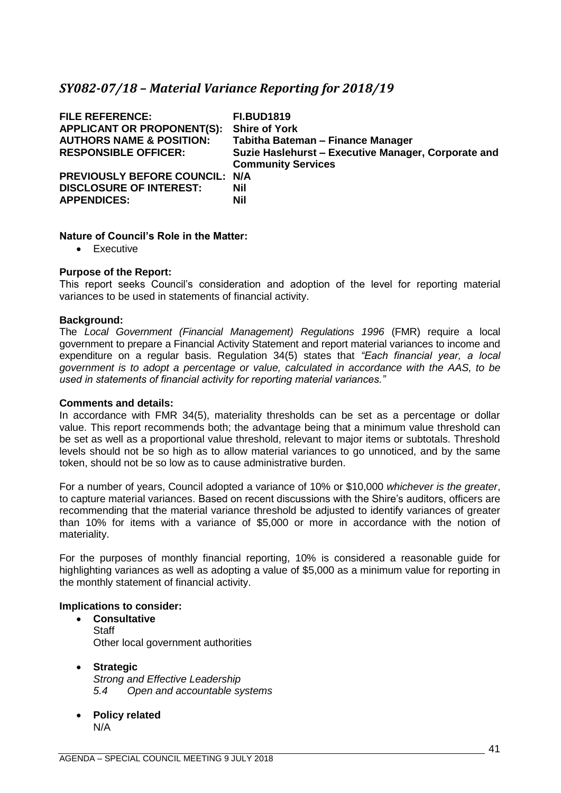## <span id="page-40-0"></span>*SY082-07/18 – Material Variance Reporting for 2018/19*

| <b>FILE REFERENCE:</b><br><b>APPLICANT OR PROPONENT(S):</b><br><b>AUTHORS NAME &amp; POSITION:</b><br><b>RESPONSIBLE OFFICER:</b> | <b>FI.BUD1819</b><br><b>Shire of York</b><br>Tabitha Bateman - Finance Manager<br>Suzie Haslehurst - Executive Manager, Corporate and<br><b>Community Services</b> |
|-----------------------------------------------------------------------------------------------------------------------------------|--------------------------------------------------------------------------------------------------------------------------------------------------------------------|
| PREVIOUSLY BEFORE COUNCIL: N/A<br><b>DISCLOSURE OF INTEREST:</b><br><b>APPENDICES:</b>                                            | Nil<br><b>Nil</b>                                                                                                                                                  |

#### **Nature of Council's Role in the Matter:**

• Executive

#### **Purpose of the Report:**

This report seeks Council's consideration and adoption of the level for reporting material variances to be used in statements of financial activity.

#### **Background:**

The *Local Government (Financial Management) Regulations 1996* (FMR) require a local government to prepare a Financial Activity Statement and report material variances to income and expenditure on a regular basis. Regulation 34(5) states that *"Each financial year, a local government is to adopt a percentage or value, calculated in accordance with the AAS, to be used in statements of financial activity for reporting material variances."*

#### **Comments and details:**

In accordance with FMR 34(5), materiality thresholds can be set as a percentage or dollar value. This report recommends both; the advantage being that a minimum value threshold can be set as well as a proportional value threshold, relevant to major items or subtotals. Threshold levels should not be so high as to allow material variances to go unnoticed, and by the same token, should not be so low as to cause administrative burden.

For a number of years, Council adopted a variance of 10% or \$10,000 *whichever is the greater*, to capture material variances. Based on recent discussions with the Shire's auditors, officers are recommending that the material variance threshold be adjusted to identify variances of greater than 10% for items with a variance of \$5,000 or more in accordance with the notion of materiality.

For the purposes of monthly financial reporting, 10% is considered a reasonable guide for highlighting variances as well as adopting a value of \$5,000 as a minimum value for reporting in the monthly statement of financial activity.

#### **Implications to consider:**

- **Consultative Staff** Other local government authorities
- **Strategic** *Strong and Effective Leadership 5.4 Open and accountable systems*
- **Policy related** N/A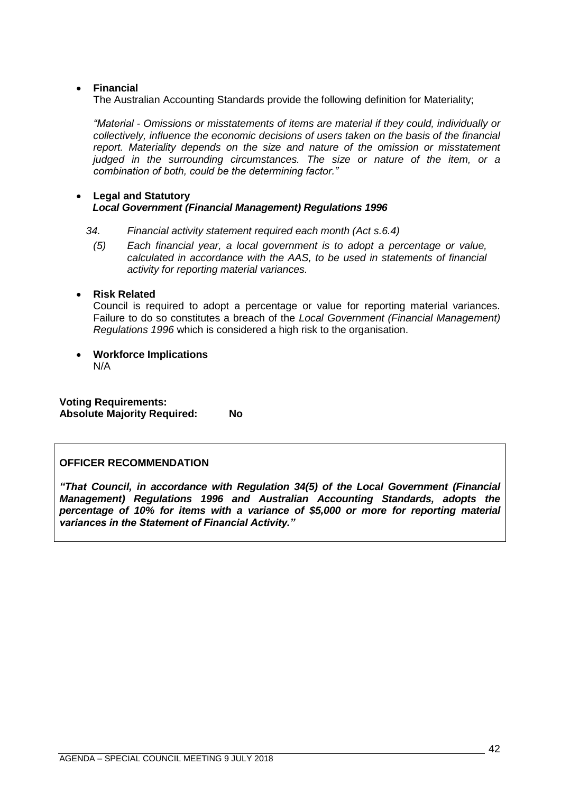## • **Financial**

The Australian Accounting Standards provide the following definition for Materiality;

*"Material - Omissions or misstatements of items are material if they could, individually or collectively, influence the economic decisions of users taken on the basis of the financial report. Materiality depends on the size and nature of the omission or misstatement judged in the surrounding circumstances. The size or nature of the item, or a combination of both, could be the determining factor."*

## • **Legal and Statutory** *Local Government (Financial Management) Regulations 1996*

#### *34. Financial activity statement required each month (Act s.6.4)*

*(5) Each financial year, a local government is to adopt a percentage or value, calculated in accordance with the AAS, to be used in statements of financial activity for reporting material variances.*

## • **Risk Related**

Council is required to adopt a percentage or value for reporting material variances. Failure to do so constitutes a breach of the *Local Government (Financial Management) Regulations 1996* which is considered a high risk to the organisation.

• **Workforce Implications** N/A

**Voting Requirements: Absolute Majority Required: No**

## **OFFICER RECOMMENDATION**

*"That Council, in accordance with Regulation 34(5) of the Local Government (Financial Management) Regulations 1996 and Australian Accounting Standards, adopts the percentage of 10% for items with a variance of \$5,000 or more for reporting material variances in the Statement of Financial Activity."*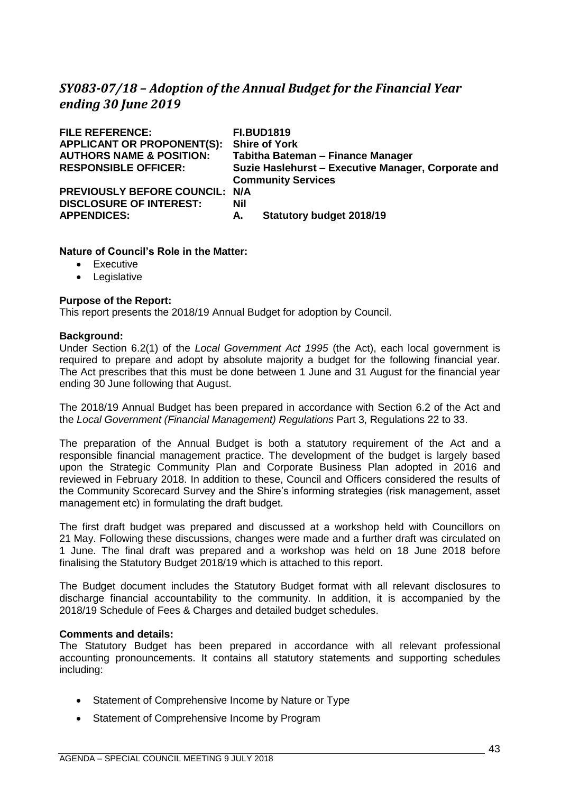## <span id="page-42-0"></span>*SY083-07/18 – Adoption of the Annual Budget for the Financial Year ending 30 June 2019*

| <b>FILE REFERENCE:</b>                | <b>FI.BUD1819</b>                                   |  |
|---------------------------------------|-----------------------------------------------------|--|
| <b>APPLICANT OR PROPONENT(S):</b>     | <b>Shire of York</b>                                |  |
| <b>AUTHORS NAME &amp; POSITION:</b>   | Tabitha Bateman - Finance Manager                   |  |
| <b>RESPONSIBLE OFFICER:</b>           | Suzie Haslehurst - Executive Manager, Corporate and |  |
|                                       | <b>Community Services</b>                           |  |
| <b>PREVIOUSLY BEFORE COUNCIL: N/A</b> |                                                     |  |
| <b>DISCLOSURE OF INTEREST:</b>        | Nil                                                 |  |
| <b>APPENDICES:</b>                    | <b>Statutory budget 2018/19</b><br>А.               |  |
|                                       |                                                     |  |

#### **Nature of Council's Role in the Matter:**

- Executive
- Legislative

#### **Purpose of the Report:**

This report presents the 2018/19 Annual Budget for adoption by Council.

#### **Background:**

Under Section 6.2(1) of the *Local Government Act 1995* (the Act), each local government is required to prepare and adopt by absolute majority a budget for the following financial year. The Act prescribes that this must be done between 1 June and 31 August for the financial year ending 30 June following that August.

The 2018/19 Annual Budget has been prepared in accordance with Section 6.2 of the Act and the *Local Government (Financial Management) Regulations* Part 3, Regulations 22 to 33.

The preparation of the Annual Budget is both a statutory requirement of the Act and a responsible financial management practice. The development of the budget is largely based upon the Strategic Community Plan and Corporate Business Plan adopted in 2016 and reviewed in February 2018. In addition to these, Council and Officers considered the results of the Community Scorecard Survey and the Shire's informing strategies (risk management, asset management etc) in formulating the draft budget.

The first draft budget was prepared and discussed at a workshop held with Councillors on 21 May. Following these discussions, changes were made and a further draft was circulated on 1 June. The final draft was prepared and a workshop was held on 18 June 2018 before finalising the Statutory Budget 2018/19 which is attached to this report.

The Budget document includes the Statutory Budget format with all relevant disclosures to discharge financial accountability to the community. In addition, it is accompanied by the 2018/19 Schedule of Fees & Charges and detailed budget schedules.

#### **Comments and details:**

The Statutory Budget has been prepared in accordance with all relevant professional accounting pronouncements. It contains all statutory statements and supporting schedules including:

- Statement of Comprehensive Income by Nature or Type
- Statement of Comprehensive Income by Program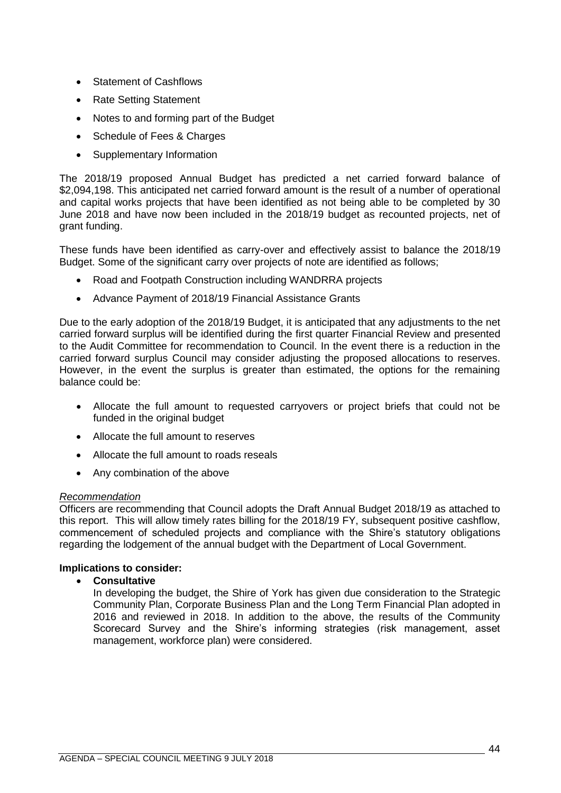- Statement of Cashflows
- Rate Setting Statement
- Notes to and forming part of the Budget
- Schedule of Fees & Charges
- Supplementary Information

The 2018/19 proposed Annual Budget has predicted a net carried forward balance of \$2,094,198. This anticipated net carried forward amount is the result of a number of operational and capital works projects that have been identified as not being able to be completed by 30 June 2018 and have now been included in the 2018/19 budget as recounted projects, net of grant funding.

These funds have been identified as carry-over and effectively assist to balance the 2018/19 Budget. Some of the significant carry over projects of note are identified as follows;

- Road and Footpath Construction including WANDRRA projects
- Advance Payment of 2018/19 Financial Assistance Grants

Due to the early adoption of the 2018/19 Budget, it is anticipated that any adjustments to the net carried forward surplus will be identified during the first quarter Financial Review and presented to the Audit Committee for recommendation to Council. In the event there is a reduction in the carried forward surplus Council may consider adjusting the proposed allocations to reserves. However, in the event the surplus is greater than estimated, the options for the remaining balance could be:

- Allocate the full amount to requested carryovers or project briefs that could not be funded in the original budget
- Allocate the full amount to reserves
- Allocate the full amount to roads reseals
- Any combination of the above

## *Recommendation*

Officers are recommending that Council adopts the Draft Annual Budget 2018/19 as attached to this report. This will allow timely rates billing for the 2018/19 FY, subsequent positive cashflow, commencement of scheduled projects and compliance with the Shire's statutory obligations regarding the lodgement of the annual budget with the Department of Local Government.

## **Implications to consider:**

## • **Consultative**

In developing the budget, the Shire of York has given due consideration to the Strategic Community Plan, Corporate Business Plan and the Long Term Financial Plan adopted in 2016 and reviewed in 2018. In addition to the above, the results of the Community Scorecard Survey and the Shire's informing strategies (risk management, asset management, workforce plan) were considered.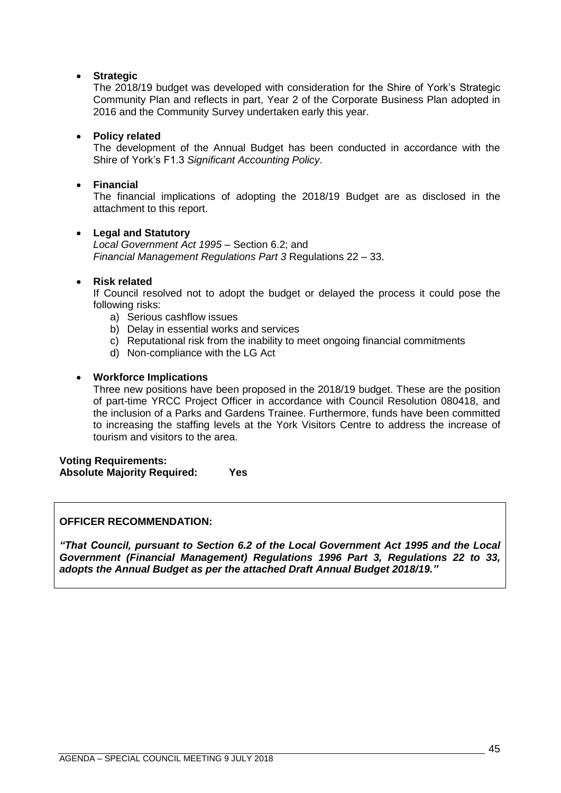## • **Strategic**

The 2018/19 budget was developed with consideration for the Shire of York's Strategic Community Plan and reflects in part, Year 2 of the Corporate Business Plan adopted in 2016 and the Community Survey undertaken early this year.

## • **Policy related**

The development of the Annual Budget has been conducted in accordance with the Shire of York's F1.3 *Significant Accounting Policy*.

### • **Financial**

The financial implications of adopting the 2018/19 Budget are as disclosed in the attachment to this report.

#### • **Legal and Statutory**

*Local Government Act 1995* – Section 6.2; and *Financial Management Regulations Part 3* Regulations 22 – 33.

#### • **Risk related**

If Council resolved not to adopt the budget or delayed the process it could pose the following risks:

- a) Serious cashflow issues
- b) Delay in essential works and services
- c) Reputational risk from the inability to meet ongoing financial commitments
- d) Non-compliance with the LG Act

#### • **Workforce Implications**

Three new positions have been proposed in the 2018/19 budget. These are the position of part-time YRCC Project Officer in accordance with Council Resolution 080418, and the inclusion of a Parks and Gardens Trainee. Furthermore, funds have been committed to increasing the staffing levels at the York Visitors Centre to address the increase of tourism and visitors to the area.

**Voting Requirements: Absolute Majority Required: Yes**

#### **OFFICER RECOMMENDATION:**

*"That Council, pursuant to Section 6.2 of the Local Government Act 1995 and the Local Government (Financial Management) Regulations 1996 Part 3, Regulations 22 to 33, adopts the Annual Budget as per the attached Draft Annual Budget 2018/19."*